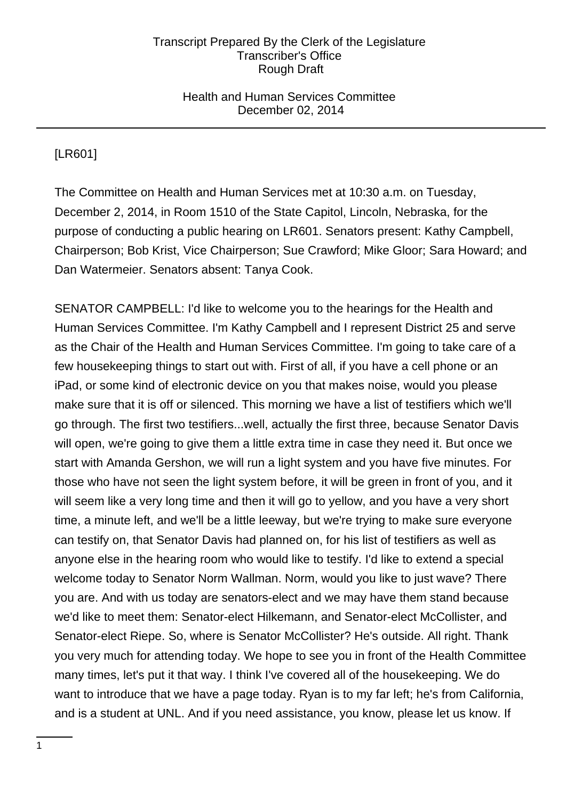### Health and Human Services Committee December 02, 2014

[LR601]

The Committee on Health and Human Services met at 10:30 a.m. on Tuesday, December 2, 2014, in Room 1510 of the State Capitol, Lincoln, Nebraska, for the purpose of conducting a public hearing on LR601. Senators present: Kathy Campbell, Chairperson; Bob Krist, Vice Chairperson; Sue Crawford; Mike Gloor; Sara Howard; and Dan Watermeier. Senators absent: Tanya Cook.

SENATOR CAMPBELL: I'd like to welcome you to the hearings for the Health and Human Services Committee. I'm Kathy Campbell and I represent District 25 and serve as the Chair of the Health and Human Services Committee. I'm going to take care of a few housekeeping things to start out with. First of all, if you have a cell phone or an iPad, or some kind of electronic device on you that makes noise, would you please make sure that it is off or silenced. This morning we have a list of testifiers which we'll go through. The first two testifiers...well, actually the first three, because Senator Davis will open, we're going to give them a little extra time in case they need it. But once we start with Amanda Gershon, we will run a light system and you have five minutes. For those who have not seen the light system before, it will be green in front of you, and it will seem like a very long time and then it will go to yellow, and you have a very short time, a minute left, and we'll be a little leeway, but we're trying to make sure everyone can testify on, that Senator Davis had planned on, for his list of testifiers as well as anyone else in the hearing room who would like to testify. I'd like to extend a special welcome today to Senator Norm Wallman. Norm, would you like to just wave? There you are. And with us today are senators-elect and we may have them stand because we'd like to meet them: Senator-elect Hilkemann, and Senator-elect McCollister, and Senator-elect Riepe. So, where is Senator McCollister? He's outside. All right. Thank you very much for attending today. We hope to see you in front of the Health Committee many times, let's put it that way. I think I've covered all of the housekeeping. We do want to introduce that we have a page today. Ryan is to my far left; he's from California, and is a student at UNL. And if you need assistance, you know, please let us know. If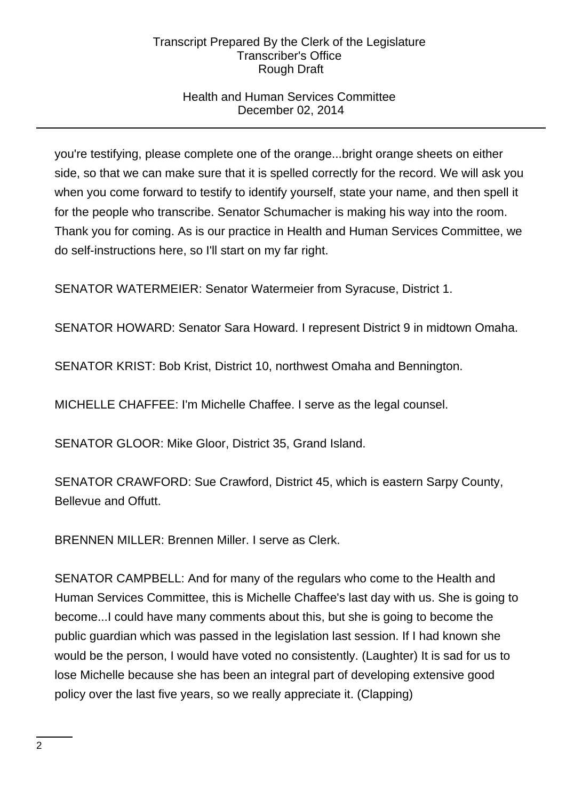# Health and Human Services Committee December 02, 2014

you're testifying, please complete one of the orange...bright orange sheets on either side, so that we can make sure that it is spelled correctly for the record. We will ask you when you come forward to testify to identify yourself, state your name, and then spell it for the people who transcribe. Senator Schumacher is making his way into the room. Thank you for coming. As is our practice in Health and Human Services Committee, we do self-instructions here, so I'll start on my far right.

SENATOR WATERMEIER: Senator Watermeier from Syracuse, District 1.

SENATOR HOWARD: Senator Sara Howard. I represent District 9 in midtown Omaha.

SENATOR KRIST: Bob Krist, District 10, northwest Omaha and Bennington.

MICHELLE CHAFFEE: I'm Michelle Chaffee. I serve as the legal counsel.

SENATOR GLOOR: Mike Gloor, District 35, Grand Island.

SENATOR CRAWFORD: Sue Crawford, District 45, which is eastern Sarpy County, Bellevue and Offutt.

BRENNEN MILLER: Brennen Miller. I serve as Clerk.

SENATOR CAMPBELL: And for many of the regulars who come to the Health and Human Services Committee, this is Michelle Chaffee's last day with us. She is going to become...I could have many comments about this, but she is going to become the public guardian which was passed in the legislation last session. If I had known she would be the person, I would have voted no consistently. (Laughter) It is sad for us to lose Michelle because she has been an integral part of developing extensive good policy over the last five years, so we really appreciate it. (Clapping)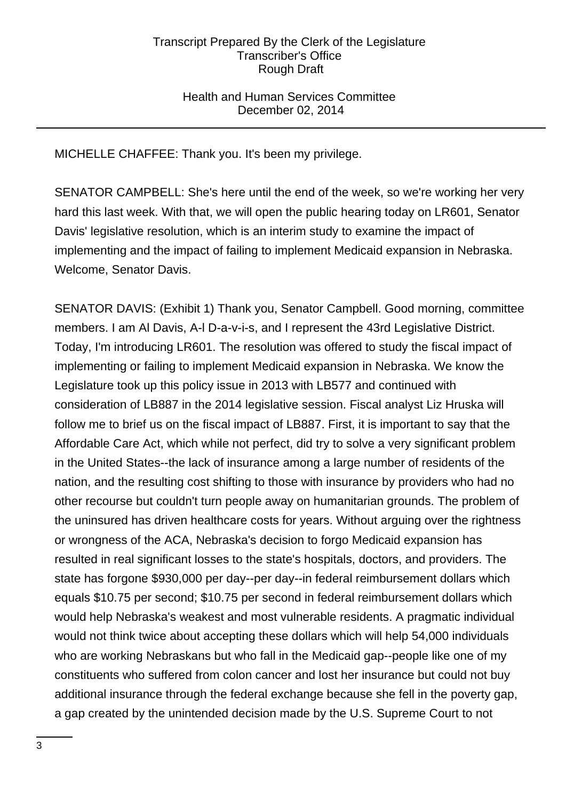## Health and Human Services Committee December 02, 2014

MICHELLE CHAFFEE: Thank you. It's been my privilege.

SENATOR CAMPBELL: She's here until the end of the week, so we're working her very hard this last week. With that, we will open the public hearing today on LR601, Senator Davis' legislative resolution, which is an interim study to examine the impact of implementing and the impact of failing to implement Medicaid expansion in Nebraska. Welcome, Senator Davis.

SENATOR DAVIS: (Exhibit 1) Thank you, Senator Campbell. Good morning, committee members. I am Al Davis, A-l D-a-v-i-s, and I represent the 43rd Legislative District. Today, I'm introducing LR601. The resolution was offered to study the fiscal impact of implementing or failing to implement Medicaid expansion in Nebraska. We know the Legislature took up this policy issue in 2013 with LB577 and continued with consideration of LB887 in the 2014 legislative session. Fiscal analyst Liz Hruska will follow me to brief us on the fiscal impact of LB887. First, it is important to say that the Affordable Care Act, which while not perfect, did try to solve a very significant problem in the United States--the lack of insurance among a large number of residents of the nation, and the resulting cost shifting to those with insurance by providers who had no other recourse but couldn't turn people away on humanitarian grounds. The problem of the uninsured has driven healthcare costs for years. Without arguing over the rightness or wrongness of the ACA, Nebraska's decision to forgo Medicaid expansion has resulted in real significant losses to the state's hospitals, doctors, and providers. The state has forgone \$930,000 per day--per day--in federal reimbursement dollars which equals \$10.75 per second; \$10.75 per second in federal reimbursement dollars which would help Nebraska's weakest and most vulnerable residents. A pragmatic individual would not think twice about accepting these dollars which will help 54,000 individuals who are working Nebraskans but who fall in the Medicaid gap--people like one of my constituents who suffered from colon cancer and lost her insurance but could not buy additional insurance through the federal exchange because she fell in the poverty gap, a gap created by the unintended decision made by the U.S. Supreme Court to not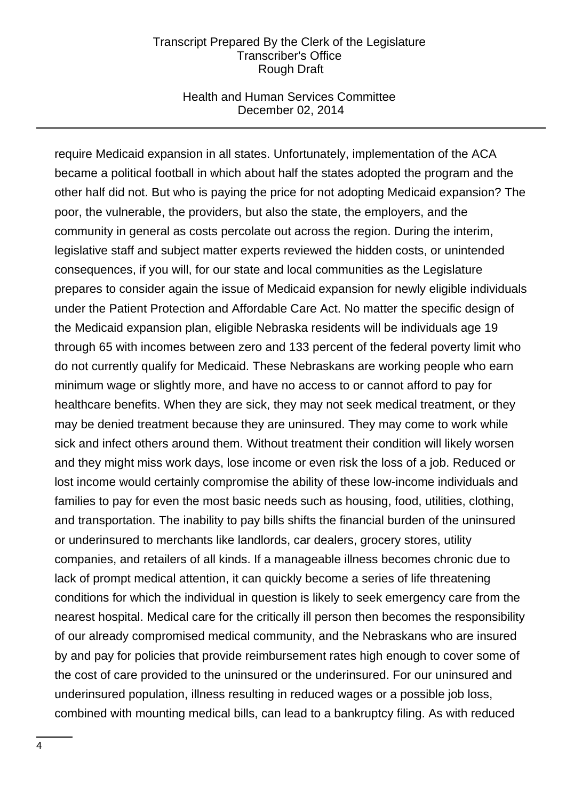### Health and Human Services Committee December 02, 2014

require Medicaid expansion in all states. Unfortunately, implementation of the ACA became a political football in which about half the states adopted the program and the other half did not. But who is paying the price for not adopting Medicaid expansion? The poor, the vulnerable, the providers, but also the state, the employers, and the community in general as costs percolate out across the region. During the interim, legislative staff and subject matter experts reviewed the hidden costs, or unintended consequences, if you will, for our state and local communities as the Legislature prepares to consider again the issue of Medicaid expansion for newly eligible individuals under the Patient Protection and Affordable Care Act. No matter the specific design of the Medicaid expansion plan, eligible Nebraska residents will be individuals age 19 through 65 with incomes between zero and 133 percent of the federal poverty limit who do not currently qualify for Medicaid. These Nebraskans are working people who earn minimum wage or slightly more, and have no access to or cannot afford to pay for healthcare benefits. When they are sick, they may not seek medical treatment, or they may be denied treatment because they are uninsured. They may come to work while sick and infect others around them. Without treatment their condition will likely worsen and they might miss work days, lose income or even risk the loss of a job. Reduced or lost income would certainly compromise the ability of these low-income individuals and families to pay for even the most basic needs such as housing, food, utilities, clothing, and transportation. The inability to pay bills shifts the financial burden of the uninsured or underinsured to merchants like landlords, car dealers, grocery stores, utility companies, and retailers of all kinds. If a manageable illness becomes chronic due to lack of prompt medical attention, it can quickly become a series of life threatening conditions for which the individual in question is likely to seek emergency care from the nearest hospital. Medical care for the critically ill person then becomes the responsibility of our already compromised medical community, and the Nebraskans who are insured by and pay for policies that provide reimbursement rates high enough to cover some of the cost of care provided to the uninsured or the underinsured. For our uninsured and underinsured population, illness resulting in reduced wages or a possible job loss, combined with mounting medical bills, can lead to a bankruptcy filing. As with reduced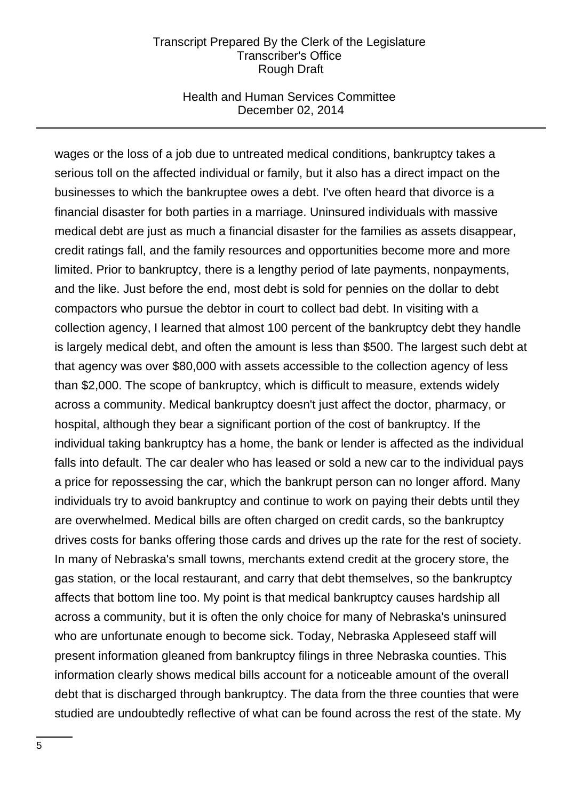### Health and Human Services Committee December 02, 2014

wages or the loss of a job due to untreated medical conditions, bankruptcy takes a serious toll on the affected individual or family, but it also has a direct impact on the businesses to which the bankruptee owes a debt. I've often heard that divorce is a financial disaster for both parties in a marriage. Uninsured individuals with massive medical debt are just as much a financial disaster for the families as assets disappear, credit ratings fall, and the family resources and opportunities become more and more limited. Prior to bankruptcy, there is a lengthy period of late payments, nonpayments, and the like. Just before the end, most debt is sold for pennies on the dollar to debt compactors who pursue the debtor in court to collect bad debt. In visiting with a collection agency, I learned that almost 100 percent of the bankruptcy debt they handle is largely medical debt, and often the amount is less than \$500. The largest such debt at that agency was over \$80,000 with assets accessible to the collection agency of less than \$2,000. The scope of bankruptcy, which is difficult to measure, extends widely across a community. Medical bankruptcy doesn't just affect the doctor, pharmacy, or hospital, although they bear a significant portion of the cost of bankruptcy. If the individual taking bankruptcy has a home, the bank or lender is affected as the individual falls into default. The car dealer who has leased or sold a new car to the individual pays a price for repossessing the car, which the bankrupt person can no longer afford. Many individuals try to avoid bankruptcy and continue to work on paying their debts until they are overwhelmed. Medical bills are often charged on credit cards, so the bankruptcy drives costs for banks offering those cards and drives up the rate for the rest of society. In many of Nebraska's small towns, merchants extend credit at the grocery store, the gas station, or the local restaurant, and carry that debt themselves, so the bankruptcy affects that bottom line too. My point is that medical bankruptcy causes hardship all across a community, but it is often the only choice for many of Nebraska's uninsured who are unfortunate enough to become sick. Today, Nebraska Appleseed staff will present information gleaned from bankruptcy filings in three Nebraska counties. This information clearly shows medical bills account for a noticeable amount of the overall debt that is discharged through bankruptcy. The data from the three counties that were studied are undoubtedly reflective of what can be found across the rest of the state. My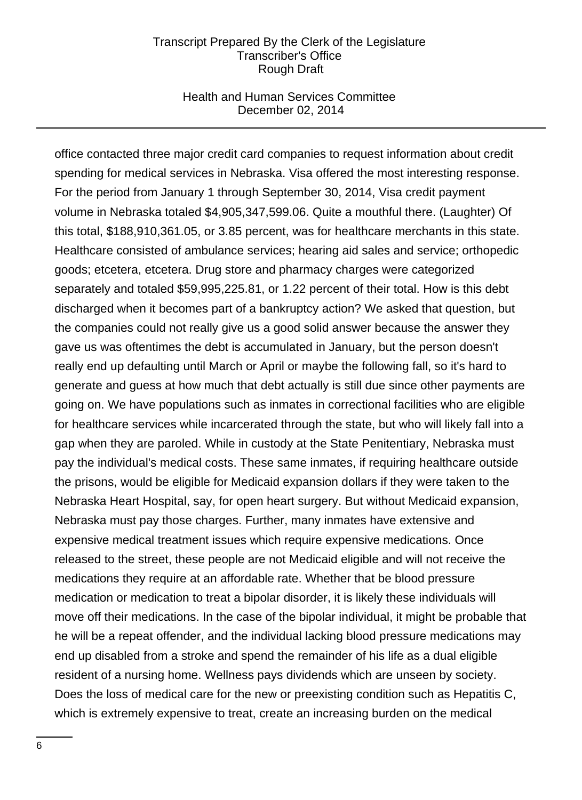### Health and Human Services Committee December 02, 2014

office contacted three major credit card companies to request information about credit spending for medical services in Nebraska. Visa offered the most interesting response. For the period from January 1 through September 30, 2014, Visa credit payment volume in Nebraska totaled \$4,905,347,599.06. Quite a mouthful there. (Laughter) Of this total, \$188,910,361.05, or 3.85 percent, was for healthcare merchants in this state. Healthcare consisted of ambulance services; hearing aid sales and service; orthopedic goods; etcetera, etcetera. Drug store and pharmacy charges were categorized separately and totaled \$59,995,225.81, or 1.22 percent of their total. How is this debt discharged when it becomes part of a bankruptcy action? We asked that question, but the companies could not really give us a good solid answer because the answer they gave us was oftentimes the debt is accumulated in January, but the person doesn't really end up defaulting until March or April or maybe the following fall, so it's hard to generate and guess at how much that debt actually is still due since other payments are going on. We have populations such as inmates in correctional facilities who are eligible for healthcare services while incarcerated through the state, but who will likely fall into a gap when they are paroled. While in custody at the State Penitentiary, Nebraska must pay the individual's medical costs. These same inmates, if requiring healthcare outside the prisons, would be eligible for Medicaid expansion dollars if they were taken to the Nebraska Heart Hospital, say, for open heart surgery. But without Medicaid expansion, Nebraska must pay those charges. Further, many inmates have extensive and expensive medical treatment issues which require expensive medications. Once released to the street, these people are not Medicaid eligible and will not receive the medications they require at an affordable rate. Whether that be blood pressure medication or medication to treat a bipolar disorder, it is likely these individuals will move off their medications. In the case of the bipolar individual, it might be probable that he will be a repeat offender, and the individual lacking blood pressure medications may end up disabled from a stroke and spend the remainder of his life as a dual eligible resident of a nursing home. Wellness pays dividends which are unseen by society. Does the loss of medical care for the new or preexisting condition such as Hepatitis C, which is extremely expensive to treat, create an increasing burden on the medical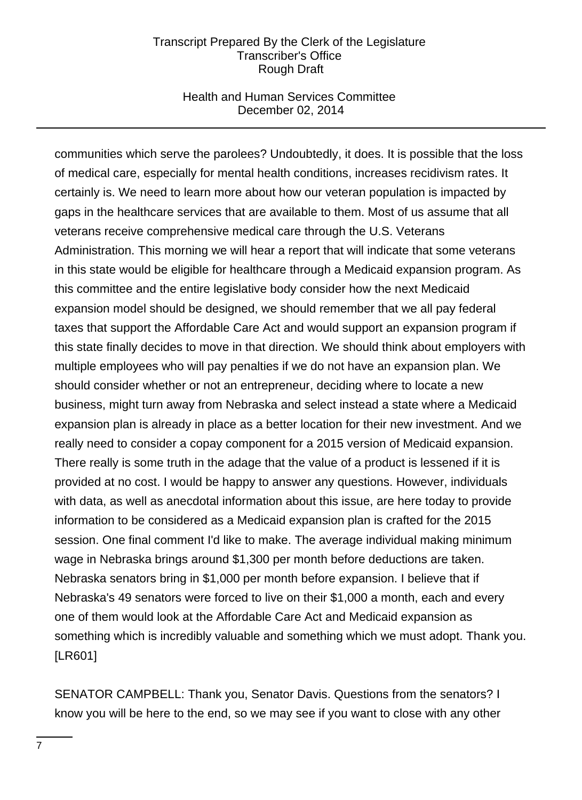## Health and Human Services Committee December 02, 2014

communities which serve the parolees? Undoubtedly, it does. It is possible that the loss of medical care, especially for mental health conditions, increases recidivism rates. It certainly is. We need to learn more about how our veteran population is impacted by gaps in the healthcare services that are available to them. Most of us assume that all veterans receive comprehensive medical care through the U.S. Veterans Administration. This morning we will hear a report that will indicate that some veterans in this state would be eligible for healthcare through a Medicaid expansion program. As this committee and the entire legislative body consider how the next Medicaid expansion model should be designed, we should remember that we all pay federal taxes that support the Affordable Care Act and would support an expansion program if this state finally decides to move in that direction. We should think about employers with multiple employees who will pay penalties if we do not have an expansion plan. We should consider whether or not an entrepreneur, deciding where to locate a new business, might turn away from Nebraska and select instead a state where a Medicaid expansion plan is already in place as a better location for their new investment. And we really need to consider a copay component for a 2015 version of Medicaid expansion. There really is some truth in the adage that the value of a product is lessened if it is provided at no cost. I would be happy to answer any questions. However, individuals with data, as well as anecdotal information about this issue, are here today to provide information to be considered as a Medicaid expansion plan is crafted for the 2015 session. One final comment I'd like to make. The average individual making minimum wage in Nebraska brings around \$1,300 per month before deductions are taken. Nebraska senators bring in \$1,000 per month before expansion. I believe that if Nebraska's 49 senators were forced to live on their \$1,000 a month, each and every one of them would look at the Affordable Care Act and Medicaid expansion as something which is incredibly valuable and something which we must adopt. Thank you. [LR601]

SENATOR CAMPBELL: Thank you, Senator Davis. Questions from the senators? I know you will be here to the end, so we may see if you want to close with any other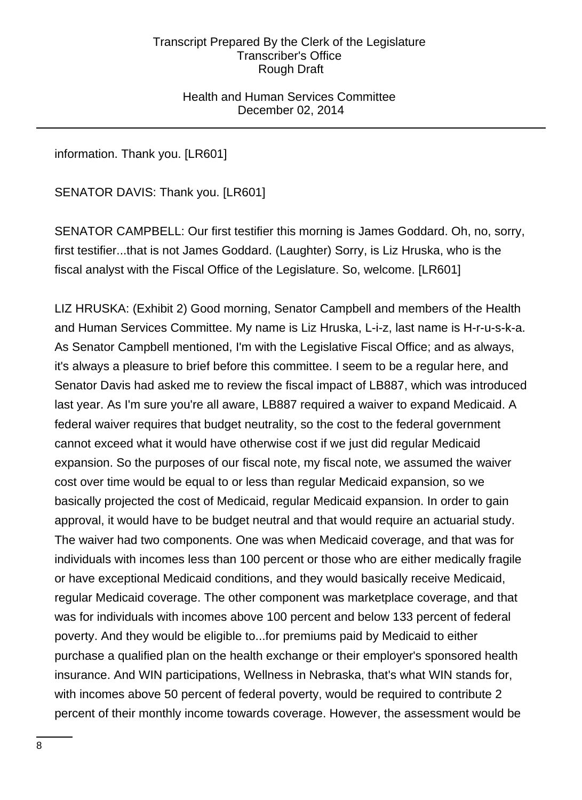Health and Human Services Committee December 02, 2014

information. Thank you. [LR601]

SENATOR DAVIS: Thank you. [LR601]

SENATOR CAMPBELL: Our first testifier this morning is James Goddard. Oh, no, sorry, first testifier...that is not James Goddard. (Laughter) Sorry, is Liz Hruska, who is the fiscal analyst with the Fiscal Office of the Legislature. So, welcome. [LR601]

LIZ HRUSKA: (Exhibit 2) Good morning, Senator Campbell and members of the Health and Human Services Committee. My name is Liz Hruska, L-i-z, last name is H-r-u-s-k-a. As Senator Campbell mentioned, I'm with the Legislative Fiscal Office; and as always, it's always a pleasure to brief before this committee. I seem to be a regular here, and Senator Davis had asked me to review the fiscal impact of LB887, which was introduced last year. As I'm sure you're all aware, LB887 required a waiver to expand Medicaid. A federal waiver requires that budget neutrality, so the cost to the federal government cannot exceed what it would have otherwise cost if we just did regular Medicaid expansion. So the purposes of our fiscal note, my fiscal note, we assumed the waiver cost over time would be equal to or less than regular Medicaid expansion, so we basically projected the cost of Medicaid, regular Medicaid expansion. In order to gain approval, it would have to be budget neutral and that would require an actuarial study. The waiver had two components. One was when Medicaid coverage, and that was for individuals with incomes less than 100 percent or those who are either medically fragile or have exceptional Medicaid conditions, and they would basically receive Medicaid, regular Medicaid coverage. The other component was marketplace coverage, and that was for individuals with incomes above 100 percent and below 133 percent of federal poverty. And they would be eligible to...for premiums paid by Medicaid to either purchase a qualified plan on the health exchange or their employer's sponsored health insurance. And WIN participations, Wellness in Nebraska, that's what WIN stands for, with incomes above 50 percent of federal poverty, would be required to contribute 2 percent of their monthly income towards coverage. However, the assessment would be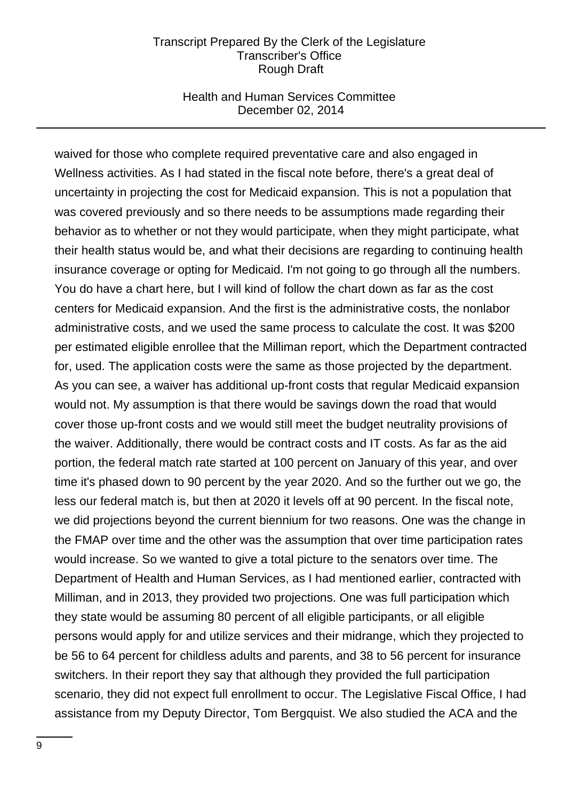### Health and Human Services Committee December 02, 2014

waived for those who complete required preventative care and also engaged in Wellness activities. As I had stated in the fiscal note before, there's a great deal of uncertainty in projecting the cost for Medicaid expansion. This is not a population that was covered previously and so there needs to be assumptions made regarding their behavior as to whether or not they would participate, when they might participate, what their health status would be, and what their decisions are regarding to continuing health insurance coverage or opting for Medicaid. I'm not going to go through all the numbers. You do have a chart here, but I will kind of follow the chart down as far as the cost centers for Medicaid expansion. And the first is the administrative costs, the nonlabor administrative costs, and we used the same process to calculate the cost. It was \$200 per estimated eligible enrollee that the Milliman report, which the Department contracted for, used. The application costs were the same as those projected by the department. As you can see, a waiver has additional up-front costs that regular Medicaid expansion would not. My assumption is that there would be savings down the road that would cover those up-front costs and we would still meet the budget neutrality provisions of the waiver. Additionally, there would be contract costs and IT costs. As far as the aid portion, the federal match rate started at 100 percent on January of this year, and over time it's phased down to 90 percent by the year 2020. And so the further out we go, the less our federal match is, but then at 2020 it levels off at 90 percent. In the fiscal note, we did projections beyond the current biennium for two reasons. One was the change in the FMAP over time and the other was the assumption that over time participation rates would increase. So we wanted to give a total picture to the senators over time. The Department of Health and Human Services, as I had mentioned earlier, contracted with Milliman, and in 2013, they provided two projections. One was full participation which they state would be assuming 80 percent of all eligible participants, or all eligible persons would apply for and utilize services and their midrange, which they projected to be 56 to 64 percent for childless adults and parents, and 38 to 56 percent for insurance switchers. In their report they say that although they provided the full participation scenario, they did not expect full enrollment to occur. The Legislative Fiscal Office, I had assistance from my Deputy Director, Tom Bergquist. We also studied the ACA and the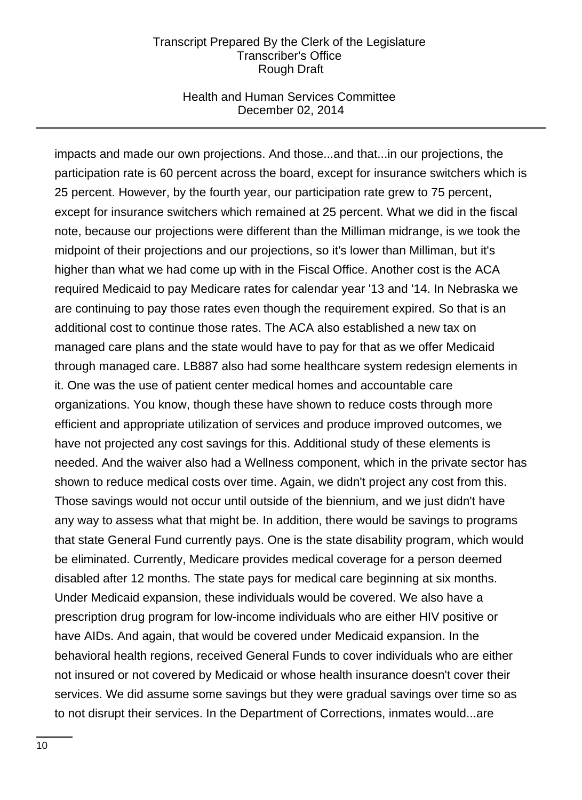### Health and Human Services Committee December 02, 2014

impacts and made our own projections. And those...and that...in our projections, the participation rate is 60 percent across the board, except for insurance switchers which is 25 percent. However, by the fourth year, our participation rate grew to 75 percent, except for insurance switchers which remained at 25 percent. What we did in the fiscal note, because our projections were different than the Milliman midrange, is we took the midpoint of their projections and our projections, so it's lower than Milliman, but it's higher than what we had come up with in the Fiscal Office. Another cost is the ACA required Medicaid to pay Medicare rates for calendar year '13 and '14. In Nebraska we are continuing to pay those rates even though the requirement expired. So that is an additional cost to continue those rates. The ACA also established a new tax on managed care plans and the state would have to pay for that as we offer Medicaid through managed care. LB887 also had some healthcare system redesign elements in it. One was the use of patient center medical homes and accountable care organizations. You know, though these have shown to reduce costs through more efficient and appropriate utilization of services and produce improved outcomes, we have not projected any cost savings for this. Additional study of these elements is needed. And the waiver also had a Wellness component, which in the private sector has shown to reduce medical costs over time. Again, we didn't project any cost from this. Those savings would not occur until outside of the biennium, and we just didn't have any way to assess what that might be. In addition, there would be savings to programs that state General Fund currently pays. One is the state disability program, which would be eliminated. Currently, Medicare provides medical coverage for a person deemed disabled after 12 months. The state pays for medical care beginning at six months. Under Medicaid expansion, these individuals would be covered. We also have a prescription drug program for low-income individuals who are either HIV positive or have AIDs. And again, that would be covered under Medicaid expansion. In the behavioral health regions, received General Funds to cover individuals who are either not insured or not covered by Medicaid or whose health insurance doesn't cover their services. We did assume some savings but they were gradual savings over time so as to not disrupt their services. In the Department of Corrections, inmates would...are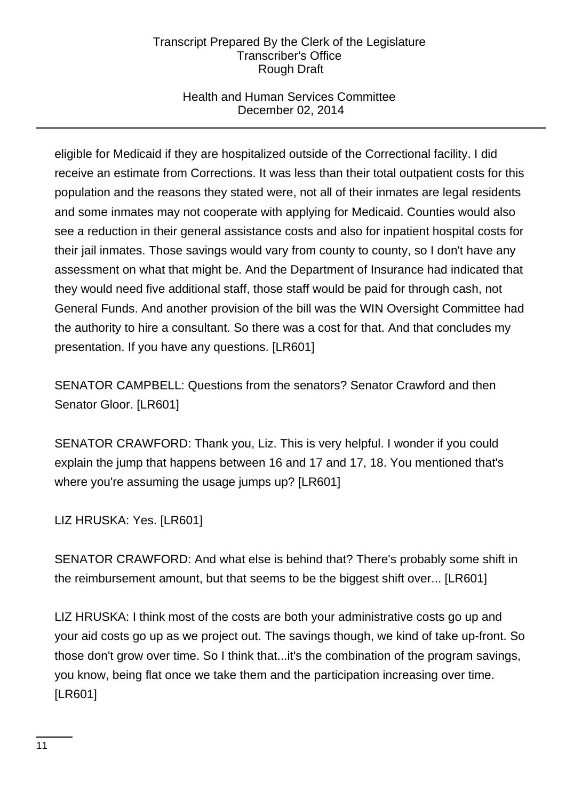# Health and Human Services Committee December 02, 2014

eligible for Medicaid if they are hospitalized outside of the Correctional facility. I did receive an estimate from Corrections. It was less than their total outpatient costs for this population and the reasons they stated were, not all of their inmates are legal residents and some inmates may not cooperate with applying for Medicaid. Counties would also see a reduction in their general assistance costs and also for inpatient hospital costs for their jail inmates. Those savings would vary from county to county, so I don't have any assessment on what that might be. And the Department of Insurance had indicated that they would need five additional staff, those staff would be paid for through cash, not General Funds. And another provision of the bill was the WIN Oversight Committee had the authority to hire a consultant. So there was a cost for that. And that concludes my presentation. If you have any questions. [LR601]

SENATOR CAMPBELL: Questions from the senators? Senator Crawford and then Senator Gloor. [LR601]

SENATOR CRAWFORD: Thank you, Liz. This is very helpful. I wonder if you could explain the jump that happens between 16 and 17 and 17, 18. You mentioned that's where you're assuming the usage jumps up? [LR601]

LIZ HRUSKA: Yes. [LR601]

SENATOR CRAWFORD: And what else is behind that? There's probably some shift in the reimbursement amount, but that seems to be the biggest shift over... [LR601]

LIZ HRUSKA: I think most of the costs are both your administrative costs go up and your aid costs go up as we project out. The savings though, we kind of take up-front. So those don't grow over time. So I think that...it's the combination of the program savings, you know, being flat once we take them and the participation increasing over time. [LR601]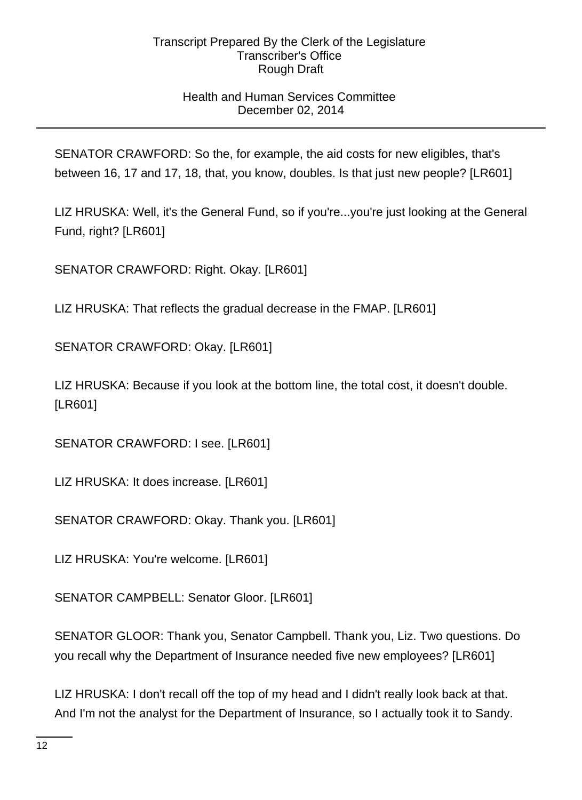# Health and Human Services Committee December 02, 2014

SENATOR CRAWFORD: So the, for example, the aid costs for new eligibles, that's between 16, 17 and 17, 18, that, you know, doubles. Is that just new people? [LR601]

LIZ HRUSKA: Well, it's the General Fund, so if you're...you're just looking at the General Fund, right? [LR601]

SENATOR CRAWFORD: Right. Okay. [LR601]

LIZ HRUSKA: That reflects the gradual decrease in the FMAP. [LR601]

SENATOR CRAWFORD: Okay. [LR601]

LIZ HRUSKA: Because if you look at the bottom line, the total cost, it doesn't double. [LR601]

SENATOR CRAWFORD: I see. [LR601]

LIZ HRUSKA: It does increase. [LR601]

SENATOR CRAWFORD: Okay. Thank you. [LR601]

LIZ HRUSKA: You're welcome. [LR601]

SENATOR CAMPBELL: Senator Gloor. [LR601]

SENATOR GLOOR: Thank you, Senator Campbell. Thank you, Liz. Two questions. Do you recall why the Department of Insurance needed five new employees? [LR601]

LIZ HRUSKA: I don't recall off the top of my head and I didn't really look back at that. And I'm not the analyst for the Department of Insurance, so I actually took it to Sandy.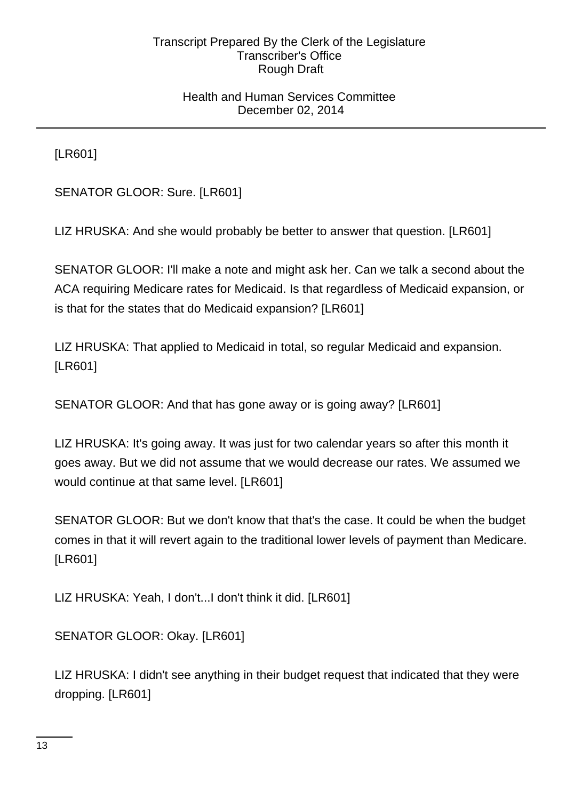## Health and Human Services Committee December 02, 2014

[LR601]

SENATOR GLOOR: Sure. [LR601]

LIZ HRUSKA: And she would probably be better to answer that question. [LR601]

SENATOR GLOOR: I'll make a note and might ask her. Can we talk a second about the ACA requiring Medicare rates for Medicaid. Is that regardless of Medicaid expansion, or is that for the states that do Medicaid expansion? [LR601]

LIZ HRUSKA: That applied to Medicaid in total, so regular Medicaid and expansion. [LR601]

SENATOR GLOOR: And that has gone away or is going away? [LR601]

LIZ HRUSKA: It's going away. It was just for two calendar years so after this month it goes away. But we did not assume that we would decrease our rates. We assumed we would continue at that same level. [LR601]

SENATOR GLOOR: But we don't know that that's the case. It could be when the budget comes in that it will revert again to the traditional lower levels of payment than Medicare. [LR601]

LIZ HRUSKA: Yeah, I don't...I don't think it did. [LR601]

SENATOR GLOOR: Okay. [LR601]

LIZ HRUSKA: I didn't see anything in their budget request that indicated that they were dropping. [LR601]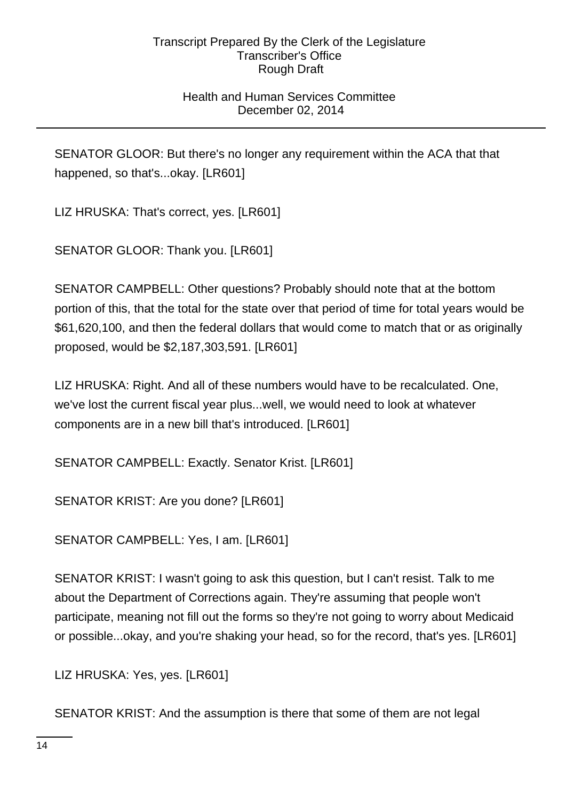# Health and Human Services Committee December 02, 2014

SENATOR GLOOR: But there's no longer any requirement within the ACA that that happened, so that's...okay. [LR601]

LIZ HRUSKA: That's correct, yes. [LR601]

SENATOR GLOOR: Thank you. [LR601]

SENATOR CAMPBELL: Other questions? Probably should note that at the bottom portion of this, that the total for the state over that period of time for total years would be \$61,620,100, and then the federal dollars that would come to match that or as originally proposed, would be \$2,187,303,591. [LR601]

LIZ HRUSKA: Right. And all of these numbers would have to be recalculated. One, we've lost the current fiscal year plus...well, we would need to look at whatever components are in a new bill that's introduced. [LR601]

SENATOR CAMPBELL: Exactly. Senator Krist. [LR601]

SENATOR KRIST: Are you done? [LR601]

SENATOR CAMPBELL: Yes, I am. [LR601]

SENATOR KRIST: I wasn't going to ask this question, but I can't resist. Talk to me about the Department of Corrections again. They're assuming that people won't participate, meaning not fill out the forms so they're not going to worry about Medicaid or possible...okay, and you're shaking your head, so for the record, that's yes. [LR601]

LIZ HRUSKA: Yes, yes. [LR601]

SENATOR KRIST: And the assumption is there that some of them are not legal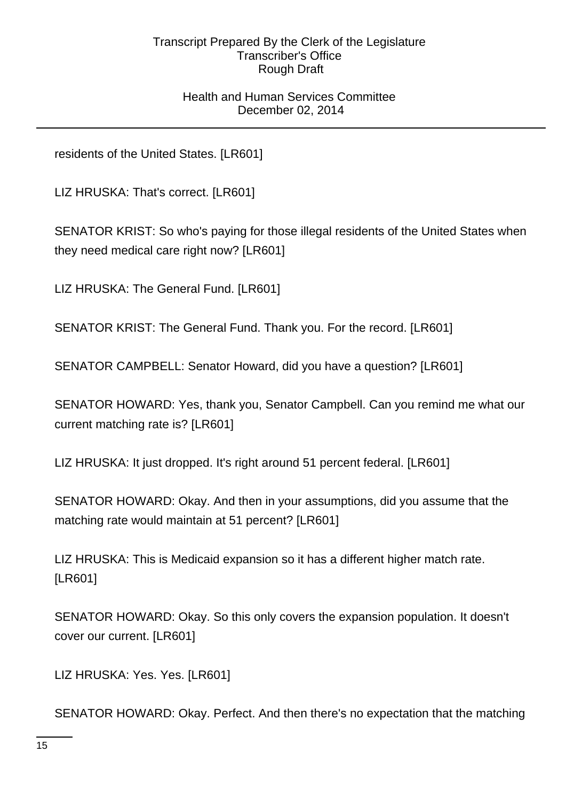## Health and Human Services Committee December 02, 2014

residents of the United States. [LR601]

LIZ HRUSKA: That's correct. [LR601]

SENATOR KRIST: So who's paying for those illegal residents of the United States when they need medical care right now? [LR601]

LIZ HRUSKA: The General Fund. [LR601]

SENATOR KRIST: The General Fund. Thank you. For the record. [LR601]

SENATOR CAMPBELL: Senator Howard, did you have a question? [LR601]

SENATOR HOWARD: Yes, thank you, Senator Campbell. Can you remind me what our current matching rate is? [LR601]

LIZ HRUSKA: It just dropped. It's right around 51 percent federal. [LR601]

SENATOR HOWARD: Okay. And then in your assumptions, did you assume that the matching rate would maintain at 51 percent? [LR601]

LIZ HRUSKA: This is Medicaid expansion so it has a different higher match rate. [LR601]

SENATOR HOWARD: Okay. So this only covers the expansion population. It doesn't cover our current. [LR601]

LIZ HRUSKA: Yes. Yes. [LR601]

SENATOR HOWARD: Okay. Perfect. And then there's no expectation that the matching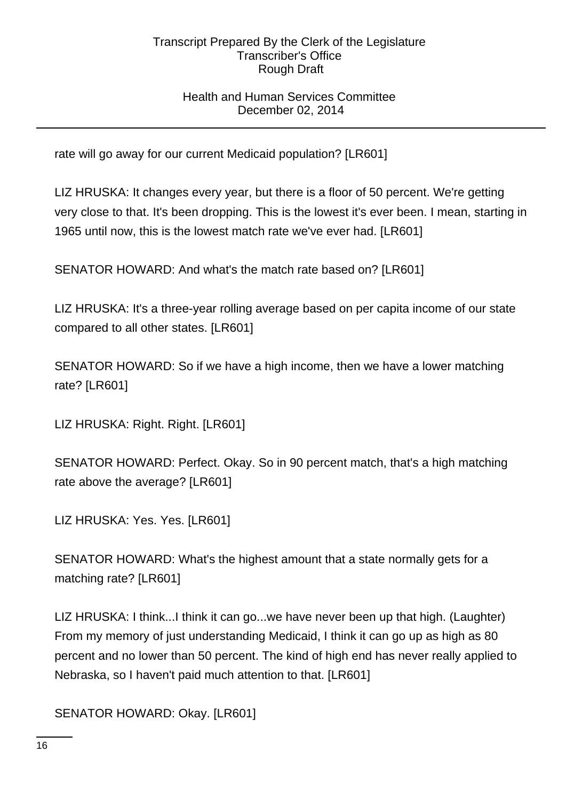# Health and Human Services Committee December 02, 2014

rate will go away for our current Medicaid population? [LR601]

LIZ HRUSKA: It changes every year, but there is a floor of 50 percent. We're getting very close to that. It's been dropping. This is the lowest it's ever been. I mean, starting in 1965 until now, this is the lowest match rate we've ever had. [LR601]

SENATOR HOWARD: And what's the match rate based on? [LR601]

LIZ HRUSKA: It's a three-year rolling average based on per capita income of our state compared to all other states. [LR601]

SENATOR HOWARD: So if we have a high income, then we have a lower matching rate? [LR601]

LIZ HRUSKA: Right. Right. [LR601]

SENATOR HOWARD: Perfect. Okay. So in 90 percent match, that's a high matching rate above the average? [LR601]

LIZ HRUSKA: Yes. Yes. [LR601]

SENATOR HOWARD: What's the highest amount that a state normally gets for a matching rate? [LR601]

LIZ HRUSKA: I think...I think it can go...we have never been up that high. (Laughter) From my memory of just understanding Medicaid, I think it can go up as high as 80 percent and no lower than 50 percent. The kind of high end has never really applied to Nebraska, so I haven't paid much attention to that. [LR601]

SENATOR HOWARD: Okay. [LR601]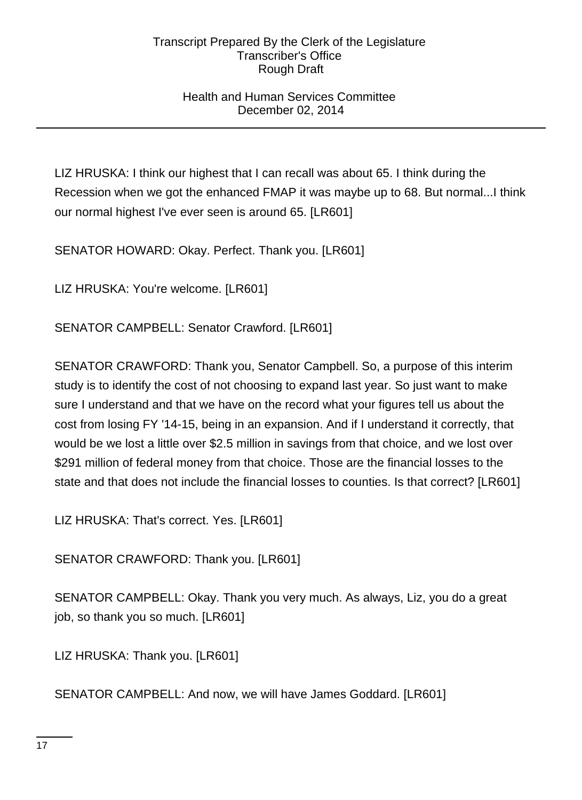## Health and Human Services Committee December 02, 2014

LIZ HRUSKA: I think our highest that I can recall was about 65. I think during the Recession when we got the enhanced FMAP it was maybe up to 68. But normal...I think our normal highest I've ever seen is around 65. [LR601]

SENATOR HOWARD: Okay. Perfect. Thank you. [LR601]

LIZ HRUSKA: You're welcome. [LR601]

SENATOR CAMPBELL: Senator Crawford. [LR601]

SENATOR CRAWFORD: Thank you, Senator Campbell. So, a purpose of this interim study is to identify the cost of not choosing to expand last year. So just want to make sure I understand and that we have on the record what your figures tell us about the cost from losing FY '14-15, being in an expansion. And if I understand it correctly, that would be we lost a little over \$2.5 million in savings from that choice, and we lost over \$291 million of federal money from that choice. Those are the financial losses to the state and that does not include the financial losses to counties. Is that correct? [LR601]

LIZ HRUSKA: That's correct. Yes. [LR601]

SENATOR CRAWFORD: Thank you. [LR601]

SENATOR CAMPBELL: Okay. Thank you very much. As always, Liz, you do a great job, so thank you so much. [LR601]

LIZ HRUSKA: Thank you. [LR601]

SENATOR CAMPBELL: And now, we will have James Goddard. [LR601]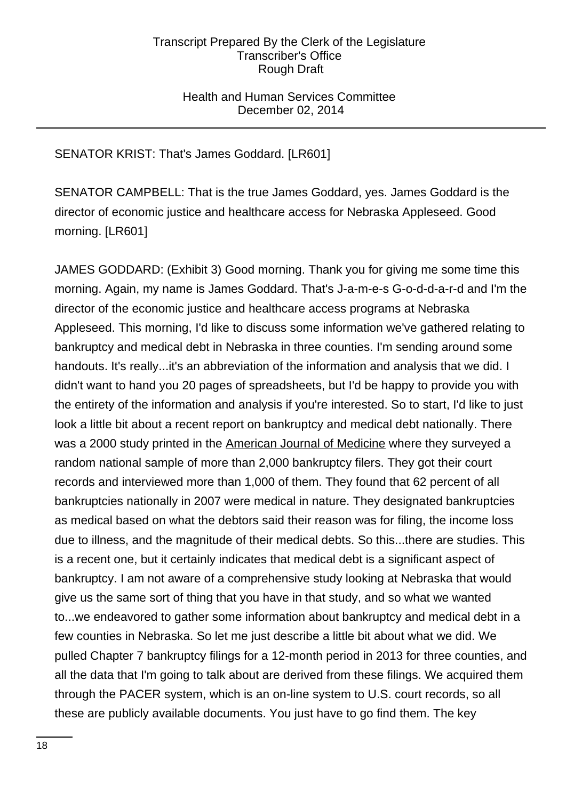## Health and Human Services Committee December 02, 2014

# SENATOR KRIST: That's James Goddard. [LR601]

SENATOR CAMPBELL: That is the true James Goddard, yes. James Goddard is the director of economic justice and healthcare access for Nebraska Appleseed. Good morning. [LR601]

JAMES GODDARD: (Exhibit 3) Good morning. Thank you for giving me some time this morning. Again, my name is James Goddard. That's J-a-m-e-s G-o-d-d-a-r-d and I'm the director of the economic justice and healthcare access programs at Nebraska Appleseed. This morning, I'd like to discuss some information we've gathered relating to bankruptcy and medical debt in Nebraska in three counties. I'm sending around some handouts. It's really...it's an abbreviation of the information and analysis that we did. I didn't want to hand you 20 pages of spreadsheets, but I'd be happy to provide you with the entirety of the information and analysis if you're interested. So to start, I'd like to just look a little bit about a recent report on bankruptcy and medical debt nationally. There was a 2000 study printed in the American Journal of Medicine where they surveyed a random national sample of more than 2,000 bankruptcy filers. They got their court records and interviewed more than 1,000 of them. They found that 62 percent of all bankruptcies nationally in 2007 were medical in nature. They designated bankruptcies as medical based on what the debtors said their reason was for filing, the income loss due to illness, and the magnitude of their medical debts. So this...there are studies. This is a recent one, but it certainly indicates that medical debt is a significant aspect of bankruptcy. I am not aware of a comprehensive study looking at Nebraska that would give us the same sort of thing that you have in that study, and so what we wanted to...we endeavored to gather some information about bankruptcy and medical debt in a few counties in Nebraska. So let me just describe a little bit about what we did. We pulled Chapter 7 bankruptcy filings for a 12-month period in 2013 for three counties, and all the data that I'm going to talk about are derived from these filings. We acquired them through the PACER system, which is an on-line system to U.S. court records, so all these are publicly available documents. You just have to go find them. The key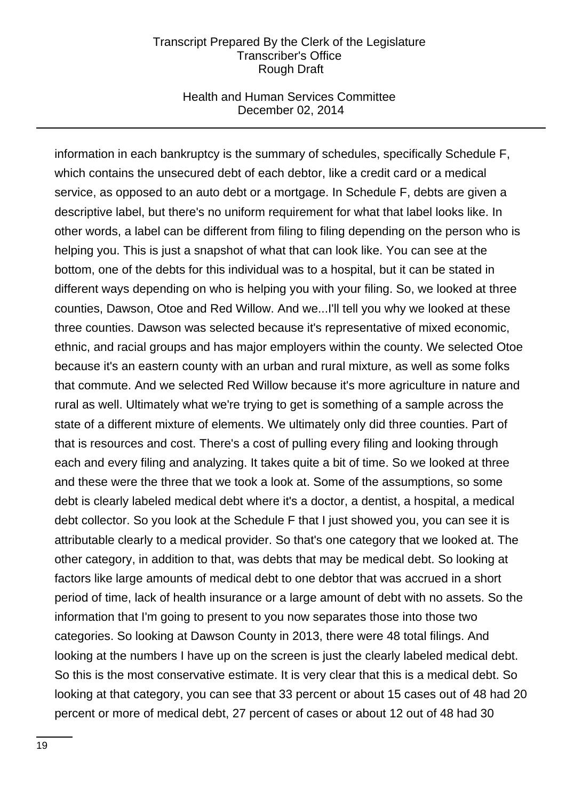### Health and Human Services Committee December 02, 2014

information in each bankruptcy is the summary of schedules, specifically Schedule F, which contains the unsecured debt of each debtor, like a credit card or a medical service, as opposed to an auto debt or a mortgage. In Schedule F, debts are given a descriptive label, but there's no uniform requirement for what that label looks like. In other words, a label can be different from filing to filing depending on the person who is helping you. This is just a snapshot of what that can look like. You can see at the bottom, one of the debts for this individual was to a hospital, but it can be stated in different ways depending on who is helping you with your filing. So, we looked at three counties, Dawson, Otoe and Red Willow. And we...I'll tell you why we looked at these three counties. Dawson was selected because it's representative of mixed economic, ethnic, and racial groups and has major employers within the county. We selected Otoe because it's an eastern county with an urban and rural mixture, as well as some folks that commute. And we selected Red Willow because it's more agriculture in nature and rural as well. Ultimately what we're trying to get is something of a sample across the state of a different mixture of elements. We ultimately only did three counties. Part of that is resources and cost. There's a cost of pulling every filing and looking through each and every filing and analyzing. It takes quite a bit of time. So we looked at three and these were the three that we took a look at. Some of the assumptions, so some debt is clearly labeled medical debt where it's a doctor, a dentist, a hospital, a medical debt collector. So you look at the Schedule F that I just showed you, you can see it is attributable clearly to a medical provider. So that's one category that we looked at. The other category, in addition to that, was debts that may be medical debt. So looking at factors like large amounts of medical debt to one debtor that was accrued in a short period of time, lack of health insurance or a large amount of debt with no assets. So the information that I'm going to present to you now separates those into those two categories. So looking at Dawson County in 2013, there were 48 total filings. And looking at the numbers I have up on the screen is just the clearly labeled medical debt. So this is the most conservative estimate. It is very clear that this is a medical debt. So looking at that category, you can see that 33 percent or about 15 cases out of 48 had 20 percent or more of medical debt, 27 percent of cases or about 12 out of 48 had 30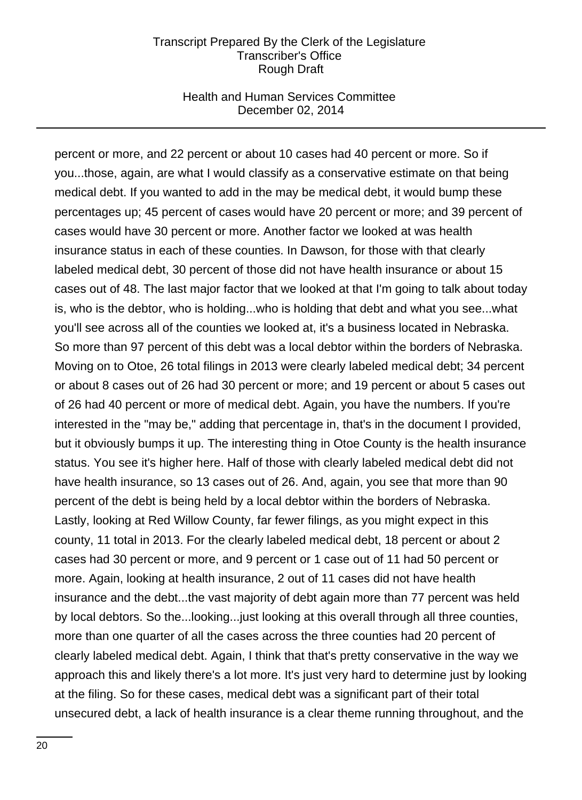### Health and Human Services Committee December 02, 2014

percent or more, and 22 percent or about 10 cases had 40 percent or more. So if you...those, again, are what I would classify as a conservative estimate on that being medical debt. If you wanted to add in the may be medical debt, it would bump these percentages up; 45 percent of cases would have 20 percent or more; and 39 percent of cases would have 30 percent or more. Another factor we looked at was health insurance status in each of these counties. In Dawson, for those with that clearly labeled medical debt, 30 percent of those did not have health insurance or about 15 cases out of 48. The last major factor that we looked at that I'm going to talk about today is, who is the debtor, who is holding...who is holding that debt and what you see...what you'll see across all of the counties we looked at, it's a business located in Nebraska. So more than 97 percent of this debt was a local debtor within the borders of Nebraska. Moving on to Otoe, 26 total filings in 2013 were clearly labeled medical debt; 34 percent or about 8 cases out of 26 had 30 percent or more; and 19 percent or about 5 cases out of 26 had 40 percent or more of medical debt. Again, you have the numbers. If you're interested in the "may be," adding that percentage in, that's in the document I provided, but it obviously bumps it up. The interesting thing in Otoe County is the health insurance status. You see it's higher here. Half of those with clearly labeled medical debt did not have health insurance, so 13 cases out of 26. And, again, you see that more than 90 percent of the debt is being held by a local debtor within the borders of Nebraska. Lastly, looking at Red Willow County, far fewer filings, as you might expect in this county, 11 total in 2013. For the clearly labeled medical debt, 18 percent or about 2 cases had 30 percent or more, and 9 percent or 1 case out of 11 had 50 percent or more. Again, looking at health insurance, 2 out of 11 cases did not have health insurance and the debt...the vast majority of debt again more than 77 percent was held by local debtors. So the...looking...just looking at this overall through all three counties, more than one quarter of all the cases across the three counties had 20 percent of clearly labeled medical debt. Again, I think that that's pretty conservative in the way we approach this and likely there's a lot more. It's just very hard to determine just by looking at the filing. So for these cases, medical debt was a significant part of their total unsecured debt, a lack of health insurance is a clear theme running throughout, and the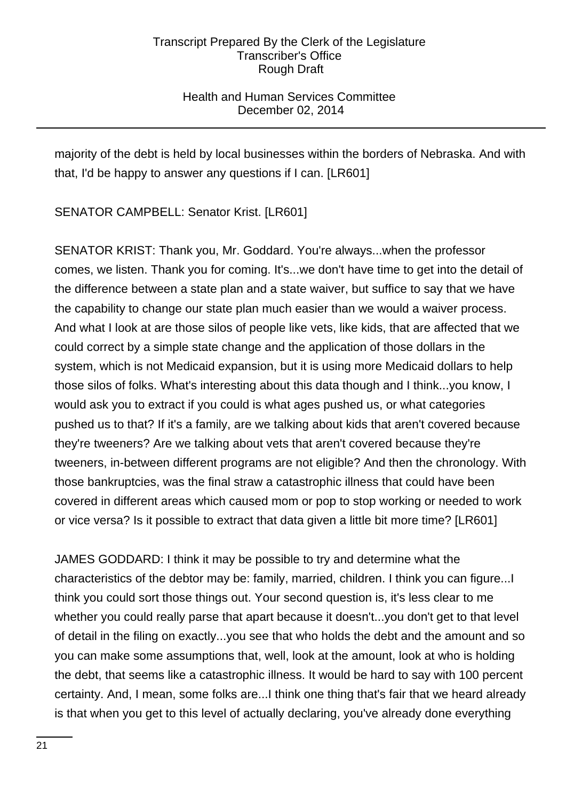# Health and Human Services Committee December 02, 2014

majority of the debt is held by local businesses within the borders of Nebraska. And with that, I'd be happy to answer any questions if I can. [LR601]

SENATOR CAMPBELL: Senator Krist. [LR601]

SENATOR KRIST: Thank you, Mr. Goddard. You're always...when the professor comes, we listen. Thank you for coming. It's...we don't have time to get into the detail of the difference between a state plan and a state waiver, but suffice to say that we have the capability to change our state plan much easier than we would a waiver process. And what I look at are those silos of people like vets, like kids, that are affected that we could correct by a simple state change and the application of those dollars in the system, which is not Medicaid expansion, but it is using more Medicaid dollars to help those silos of folks. What's interesting about this data though and I think...you know, I would ask you to extract if you could is what ages pushed us, or what categories pushed us to that? If it's a family, are we talking about kids that aren't covered because they're tweeners? Are we talking about vets that aren't covered because they're tweeners, in-between different programs are not eligible? And then the chronology. With those bankruptcies, was the final straw a catastrophic illness that could have been covered in different areas which caused mom or pop to stop working or needed to work or vice versa? Is it possible to extract that data given a little bit more time? [LR601]

JAMES GODDARD: I think it may be possible to try and determine what the characteristics of the debtor may be: family, married, children. I think you can figure...I think you could sort those things out. Your second question is, it's less clear to me whether you could really parse that apart because it doesn't...you don't get to that level of detail in the filing on exactly...you see that who holds the debt and the amount and so you can make some assumptions that, well, look at the amount, look at who is holding the debt, that seems like a catastrophic illness. It would be hard to say with 100 percent certainty. And, I mean, some folks are...I think one thing that's fair that we heard already is that when you get to this level of actually declaring, you've already done everything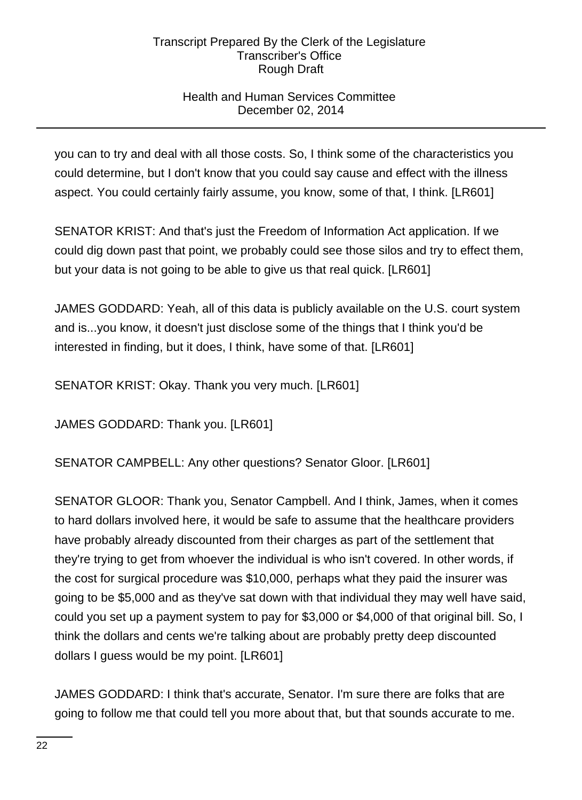# Health and Human Services Committee December 02, 2014

you can to try and deal with all those costs. So, I think some of the characteristics you could determine, but I don't know that you could say cause and effect with the illness aspect. You could certainly fairly assume, you know, some of that, I think. [LR601]

SENATOR KRIST: And that's just the Freedom of Information Act application. If we could dig down past that point, we probably could see those silos and try to effect them, but your data is not going to be able to give us that real quick. [LR601]

JAMES GODDARD: Yeah, all of this data is publicly available on the U.S. court system and is...you know, it doesn't just disclose some of the things that I think you'd be interested in finding, but it does, I think, have some of that. [LR601]

SENATOR KRIST: Okay. Thank you very much. [LR601]

JAMES GODDARD: Thank you. [LR601]

SENATOR CAMPBELL: Any other questions? Senator Gloor. [LR601]

SENATOR GLOOR: Thank you, Senator Campbell. And I think, James, when it comes to hard dollars involved here, it would be safe to assume that the healthcare providers have probably already discounted from their charges as part of the settlement that they're trying to get from whoever the individual is who isn't covered. In other words, if the cost for surgical procedure was \$10,000, perhaps what they paid the insurer was going to be \$5,000 and as they've sat down with that individual they may well have said, could you set up a payment system to pay for \$3,000 or \$4,000 of that original bill. So, I think the dollars and cents we're talking about are probably pretty deep discounted dollars I guess would be my point. [LR601]

JAMES GODDARD: I think that's accurate, Senator. I'm sure there are folks that are going to follow me that could tell you more about that, but that sounds accurate to me.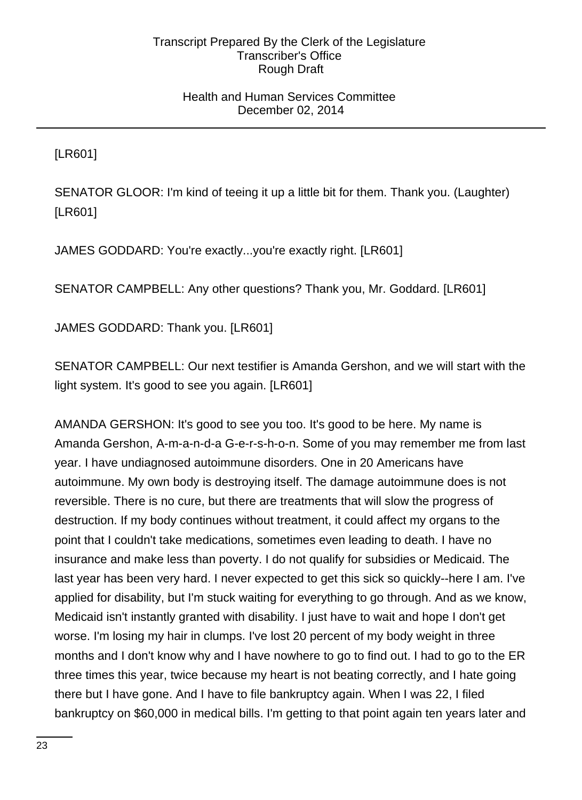## Health and Human Services Committee December 02, 2014

[LR601]

SENATOR GLOOR: I'm kind of teeing it up a little bit for them. Thank you. (Laughter) [LR601]

JAMES GODDARD: You're exactly...you're exactly right. [LR601]

SENATOR CAMPBELL: Any other questions? Thank you, Mr. Goddard. [LR601]

JAMES GODDARD: Thank you. [LR601]

SENATOR CAMPBELL: Our next testifier is Amanda Gershon, and we will start with the light system. It's good to see you again. [LR601]

AMANDA GERSHON: It's good to see you too. It's good to be here. My name is Amanda Gershon, A-m-a-n-d-a G-e-r-s-h-o-n. Some of you may remember me from last year. I have undiagnosed autoimmune disorders. One in 20 Americans have autoimmune. My own body is destroying itself. The damage autoimmune does is not reversible. There is no cure, but there are treatments that will slow the progress of destruction. If my body continues without treatment, it could affect my organs to the point that I couldn't take medications, sometimes even leading to death. I have no insurance and make less than poverty. I do not qualify for subsidies or Medicaid. The last year has been very hard. I never expected to get this sick so quickly--here I am. I've applied for disability, but I'm stuck waiting for everything to go through. And as we know, Medicaid isn't instantly granted with disability. I just have to wait and hope I don't get worse. I'm losing my hair in clumps. I've lost 20 percent of my body weight in three months and I don't know why and I have nowhere to go to find out. I had to go to the ER three times this year, twice because my heart is not beating correctly, and I hate going there but I have gone. And I have to file bankruptcy again. When I was 22, I filed bankruptcy on \$60,000 in medical bills. I'm getting to that point again ten years later and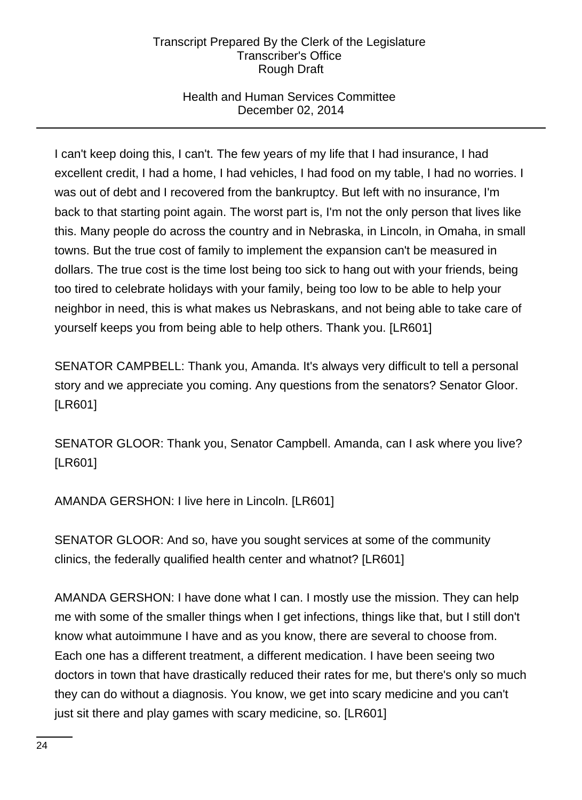# Health and Human Services Committee December 02, 2014

I can't keep doing this, I can't. The few years of my life that I had insurance, I had excellent credit, I had a home, I had vehicles, I had food on my table, I had no worries. I was out of debt and I recovered from the bankruptcy. But left with no insurance, I'm back to that starting point again. The worst part is, I'm not the only person that lives like this. Many people do across the country and in Nebraska, in Lincoln, in Omaha, in small towns. But the true cost of family to implement the expansion can't be measured in dollars. The true cost is the time lost being too sick to hang out with your friends, being too tired to celebrate holidays with your family, being too low to be able to help your neighbor in need, this is what makes us Nebraskans, and not being able to take care of yourself keeps you from being able to help others. Thank you. [LR601]

SENATOR CAMPBELL: Thank you, Amanda. It's always very difficult to tell a personal story and we appreciate you coming. Any questions from the senators? Senator Gloor. [LR601]

SENATOR GLOOR: Thank you, Senator Campbell. Amanda, can I ask where you live? [LR601]

AMANDA GERSHON: I live here in Lincoln. [LR601]

SENATOR GLOOR: And so, have you sought services at some of the community clinics, the federally qualified health center and whatnot? [LR601]

AMANDA GERSHON: I have done what I can. I mostly use the mission. They can help me with some of the smaller things when I get infections, things like that, but I still don't know what autoimmune I have and as you know, there are several to choose from. Each one has a different treatment, a different medication. I have been seeing two doctors in town that have drastically reduced their rates for me, but there's only so much they can do without a diagnosis. You know, we get into scary medicine and you can't just sit there and play games with scary medicine, so. [LR601]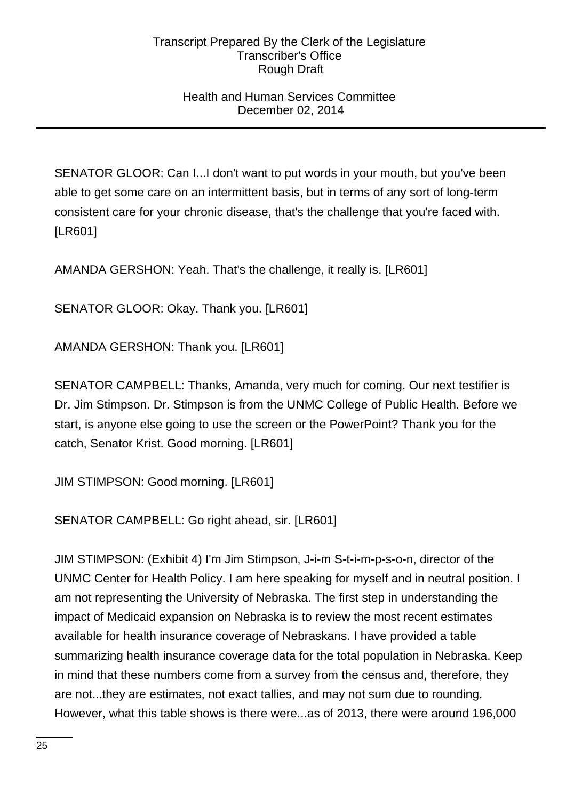## Health and Human Services Committee December 02, 2014

SENATOR GLOOR: Can I...I don't want to put words in your mouth, but you've been able to get some care on an intermittent basis, but in terms of any sort of long-term consistent care for your chronic disease, that's the challenge that you're faced with. [LR601]

AMANDA GERSHON: Yeah. That's the challenge, it really is. [LR601]

SENATOR GLOOR: Okay. Thank you. [LR601]

AMANDA GERSHON: Thank you. [LR601]

SENATOR CAMPBELL: Thanks, Amanda, very much for coming. Our next testifier is Dr. Jim Stimpson. Dr. Stimpson is from the UNMC College of Public Health. Before we start, is anyone else going to use the screen or the PowerPoint? Thank you for the catch, Senator Krist. Good morning. [LR601]

JIM STIMPSON: Good morning. [LR601]

SENATOR CAMPBELL: Go right ahead, sir. [LR601]

JIM STIMPSON: (Exhibit 4) I'm Jim Stimpson, J-i-m S-t-i-m-p-s-o-n, director of the UNMC Center for Health Policy. I am here speaking for myself and in neutral position. I am not representing the University of Nebraska. The first step in understanding the impact of Medicaid expansion on Nebraska is to review the most recent estimates available for health insurance coverage of Nebraskans. I have provided a table summarizing health insurance coverage data for the total population in Nebraska. Keep in mind that these numbers come from a survey from the census and, therefore, they are not...they are estimates, not exact tallies, and may not sum due to rounding. However, what this table shows is there were...as of 2013, there were around 196,000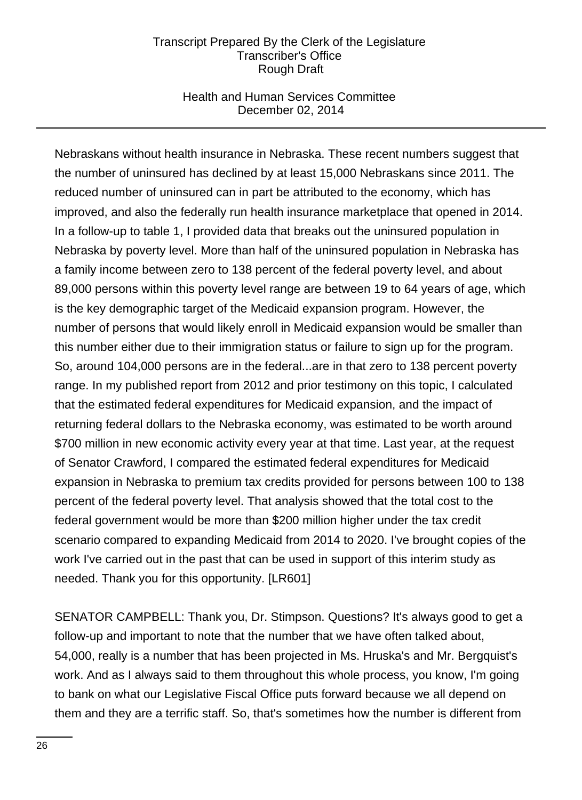## Health and Human Services Committee December 02, 2014

Nebraskans without health insurance in Nebraska. These recent numbers suggest that the number of uninsured has declined by at least 15,000 Nebraskans since 2011. The reduced number of uninsured can in part be attributed to the economy, which has improved, and also the federally run health insurance marketplace that opened in 2014. In a follow-up to table 1, I provided data that breaks out the uninsured population in Nebraska by poverty level. More than half of the uninsured population in Nebraska has a family income between zero to 138 percent of the federal poverty level, and about 89,000 persons within this poverty level range are between 19 to 64 years of age, which is the key demographic target of the Medicaid expansion program. However, the number of persons that would likely enroll in Medicaid expansion would be smaller than this number either due to their immigration status or failure to sign up for the program. So, around 104,000 persons are in the federal...are in that zero to 138 percent poverty range. In my published report from 2012 and prior testimony on this topic, I calculated that the estimated federal expenditures for Medicaid expansion, and the impact of returning federal dollars to the Nebraska economy, was estimated to be worth around \$700 million in new economic activity every year at that time. Last year, at the request of Senator Crawford, I compared the estimated federal expenditures for Medicaid expansion in Nebraska to premium tax credits provided for persons between 100 to 138 percent of the federal poverty level. That analysis showed that the total cost to the federal government would be more than \$200 million higher under the tax credit scenario compared to expanding Medicaid from 2014 to 2020. I've brought copies of the work I've carried out in the past that can be used in support of this interim study as needed. Thank you for this opportunity. [LR601]

SENATOR CAMPBELL: Thank you, Dr. Stimpson. Questions? It's always good to get a follow-up and important to note that the number that we have often talked about, 54,000, really is a number that has been projected in Ms. Hruska's and Mr. Bergquist's work. And as I always said to them throughout this whole process, you know, I'm going to bank on what our Legislative Fiscal Office puts forward because we all depend on them and they are a terrific staff. So, that's sometimes how the number is different from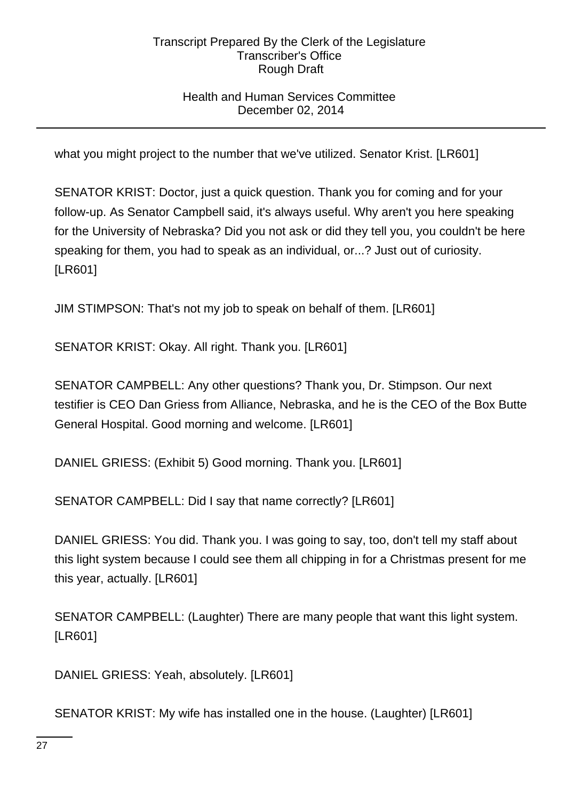## Health and Human Services Committee December 02, 2014

what you might project to the number that we've utilized. Senator Krist. [LR601]

SENATOR KRIST: Doctor, just a quick question. Thank you for coming and for your follow-up. As Senator Campbell said, it's always useful. Why aren't you here speaking for the University of Nebraska? Did you not ask or did they tell you, you couldn't be here speaking for them, you had to speak as an individual, or...? Just out of curiosity. [LR601]

JIM STIMPSON: That's not my job to speak on behalf of them. [LR601]

SENATOR KRIST: Okay. All right. Thank you. [LR601]

SENATOR CAMPBELL: Any other questions? Thank you, Dr. Stimpson. Our next testifier is CEO Dan Griess from Alliance, Nebraska, and he is the CEO of the Box Butte General Hospital. Good morning and welcome. [LR601]

DANIEL GRIESS: (Exhibit 5) Good morning. Thank you. [LR601]

SENATOR CAMPBELL: Did I say that name correctly? [LR601]

DANIEL GRIESS: You did. Thank you. I was going to say, too, don't tell my staff about this light system because I could see them all chipping in for a Christmas present for me this year, actually. [LR601]

SENATOR CAMPBELL: (Laughter) There are many people that want this light system. [LR601]

DANIEL GRIESS: Yeah, absolutely. [LR601]

SENATOR KRIST: My wife has installed one in the house. (Laughter) [LR601]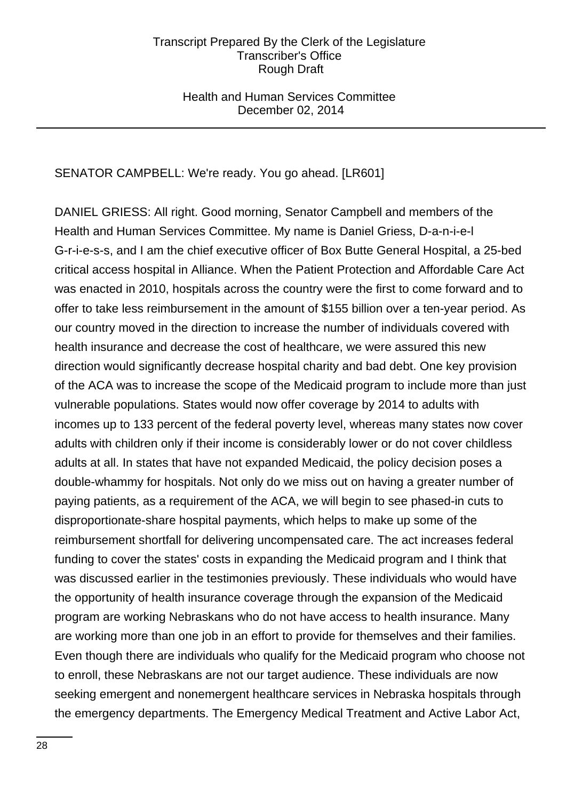### Health and Human Services Committee December 02, 2014

## SENATOR CAMPBELL: We're ready. You go ahead. [LR601]

DANIEL GRIESS: All right. Good morning, Senator Campbell and members of the Health and Human Services Committee. My name is Daniel Griess, D-a-n-i-e-l G-r-i-e-s-s, and I am the chief executive officer of Box Butte General Hospital, a 25-bed critical access hospital in Alliance. When the Patient Protection and Affordable Care Act was enacted in 2010, hospitals across the country were the first to come forward and to offer to take less reimbursement in the amount of \$155 billion over a ten-year period. As our country moved in the direction to increase the number of individuals covered with health insurance and decrease the cost of healthcare, we were assured this new direction would significantly decrease hospital charity and bad debt. One key provision of the ACA was to increase the scope of the Medicaid program to include more than just vulnerable populations. States would now offer coverage by 2014 to adults with incomes up to 133 percent of the federal poverty level, whereas many states now cover adults with children only if their income is considerably lower or do not cover childless adults at all. In states that have not expanded Medicaid, the policy decision poses a double-whammy for hospitals. Not only do we miss out on having a greater number of paying patients, as a requirement of the ACA, we will begin to see phased-in cuts to disproportionate-share hospital payments, which helps to make up some of the reimbursement shortfall for delivering uncompensated care. The act increases federal funding to cover the states' costs in expanding the Medicaid program and I think that was discussed earlier in the testimonies previously. These individuals who would have the opportunity of health insurance coverage through the expansion of the Medicaid program are working Nebraskans who do not have access to health insurance. Many are working more than one job in an effort to provide for themselves and their families. Even though there are individuals who qualify for the Medicaid program who choose not to enroll, these Nebraskans are not our target audience. These individuals are now seeking emergent and nonemergent healthcare services in Nebraska hospitals through the emergency departments. The Emergency Medical Treatment and Active Labor Act,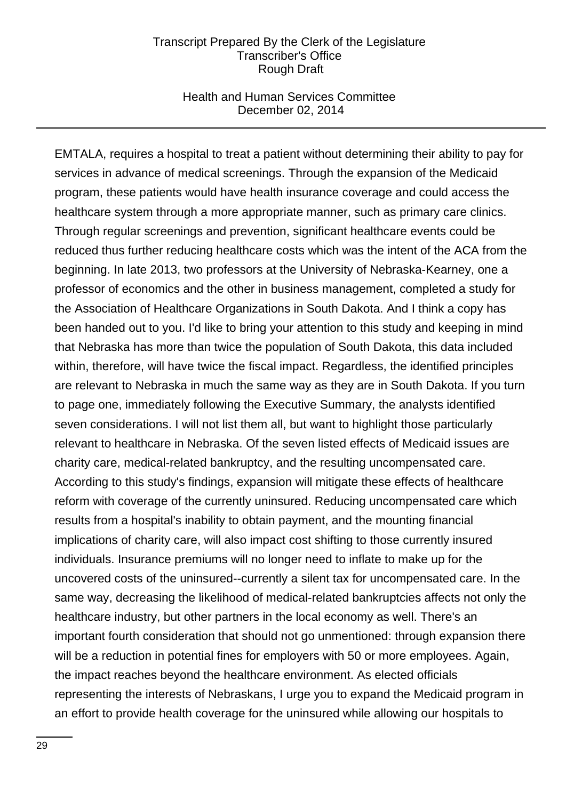### Health and Human Services Committee December 02, 2014

EMTALA, requires a hospital to treat a patient without determining their ability to pay for services in advance of medical screenings. Through the expansion of the Medicaid program, these patients would have health insurance coverage and could access the healthcare system through a more appropriate manner, such as primary care clinics. Through regular screenings and prevention, significant healthcare events could be reduced thus further reducing healthcare costs which was the intent of the ACA from the beginning. In late 2013, two professors at the University of Nebraska-Kearney, one a professor of economics and the other in business management, completed a study for the Association of Healthcare Organizations in South Dakota. And I think a copy has been handed out to you. I'd like to bring your attention to this study and keeping in mind that Nebraska has more than twice the population of South Dakota, this data included within, therefore, will have twice the fiscal impact. Regardless, the identified principles are relevant to Nebraska in much the same way as they are in South Dakota. If you turn to page one, immediately following the Executive Summary, the analysts identified seven considerations. I will not list them all, but want to highlight those particularly relevant to healthcare in Nebraska. Of the seven listed effects of Medicaid issues are charity care, medical-related bankruptcy, and the resulting uncompensated care. According to this study's findings, expansion will mitigate these effects of healthcare reform with coverage of the currently uninsured. Reducing uncompensated care which results from a hospital's inability to obtain payment, and the mounting financial implications of charity care, will also impact cost shifting to those currently insured individuals. Insurance premiums will no longer need to inflate to make up for the uncovered costs of the uninsured--currently a silent tax for uncompensated care. In the same way, decreasing the likelihood of medical-related bankruptcies affects not only the healthcare industry, but other partners in the local economy as well. There's an important fourth consideration that should not go unmentioned: through expansion there will be a reduction in potential fines for employers with 50 or more employees. Again, the impact reaches beyond the healthcare environment. As elected officials representing the interests of Nebraskans, I urge you to expand the Medicaid program in an effort to provide health coverage for the uninsured while allowing our hospitals to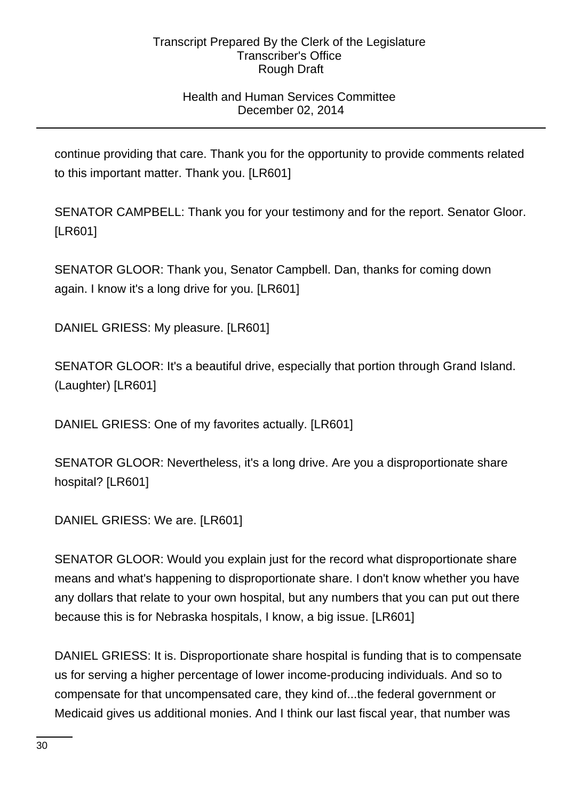# Health and Human Services Committee December 02, 2014

continue providing that care. Thank you for the opportunity to provide comments related to this important matter. Thank you. [LR601]

SENATOR CAMPBELL: Thank you for your testimony and for the report. Senator Gloor. [LR601]

SENATOR GLOOR: Thank you, Senator Campbell. Dan, thanks for coming down again. I know it's a long drive for you. [LR601]

DANIEL GRIESS: My pleasure. [LR601]

SENATOR GLOOR: It's a beautiful drive, especially that portion through Grand Island. (Laughter) [LR601]

DANIEL GRIESS: One of my favorites actually. [LR601]

SENATOR GLOOR: Nevertheless, it's a long drive. Are you a disproportionate share hospital? [LR601]

DANIEL GRIESS: We are. [LR601]

SENATOR GLOOR: Would you explain just for the record what disproportionate share means and what's happening to disproportionate share. I don't know whether you have any dollars that relate to your own hospital, but any numbers that you can put out there because this is for Nebraska hospitals, I know, a big issue. [LR601]

DANIEL GRIESS: It is. Disproportionate share hospital is funding that is to compensate us for serving a higher percentage of lower income-producing individuals. And so to compensate for that uncompensated care, they kind of...the federal government or Medicaid gives us additional monies. And I think our last fiscal year, that number was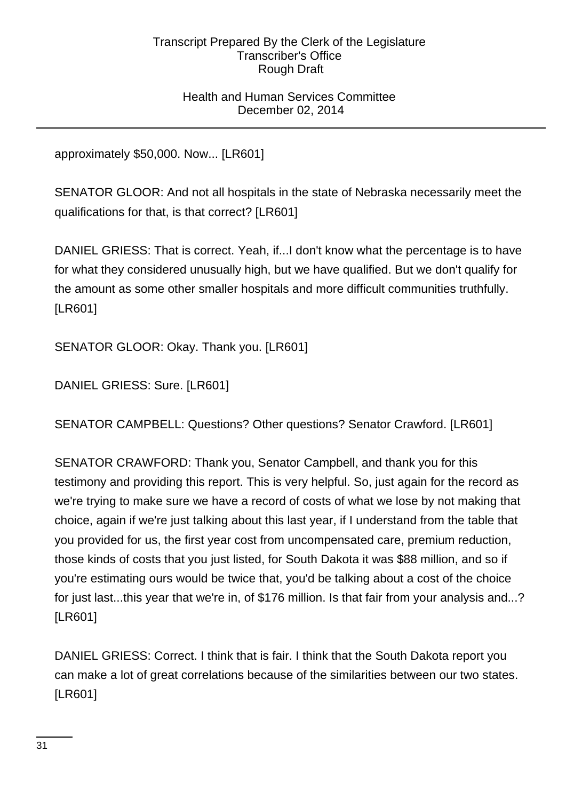## Health and Human Services Committee December 02, 2014

approximately \$50,000. Now... [LR601]

SENATOR GLOOR: And not all hospitals in the state of Nebraska necessarily meet the qualifications for that, is that correct? [LR601]

DANIEL GRIESS: That is correct. Yeah, if...I don't know what the percentage is to have for what they considered unusually high, but we have qualified. But we don't qualify for the amount as some other smaller hospitals and more difficult communities truthfully. [LR601]

SENATOR GLOOR: Okay. Thank you. [LR601]

DANIEL GRIESS: Sure. [LR601]

SENATOR CAMPBELL: Questions? Other questions? Senator Crawford. [LR601]

SENATOR CRAWFORD: Thank you, Senator Campbell, and thank you for this testimony and providing this report. This is very helpful. So, just again for the record as we're trying to make sure we have a record of costs of what we lose by not making that choice, again if we're just talking about this last year, if I understand from the table that you provided for us, the first year cost from uncompensated care, premium reduction, those kinds of costs that you just listed, for South Dakota it was \$88 million, and so if you're estimating ours would be twice that, you'd be talking about a cost of the choice for just last...this year that we're in, of \$176 million. Is that fair from your analysis and...? [LR601]

DANIEL GRIESS: Correct. I think that is fair. I think that the South Dakota report you can make a lot of great correlations because of the similarities between our two states. [LR601]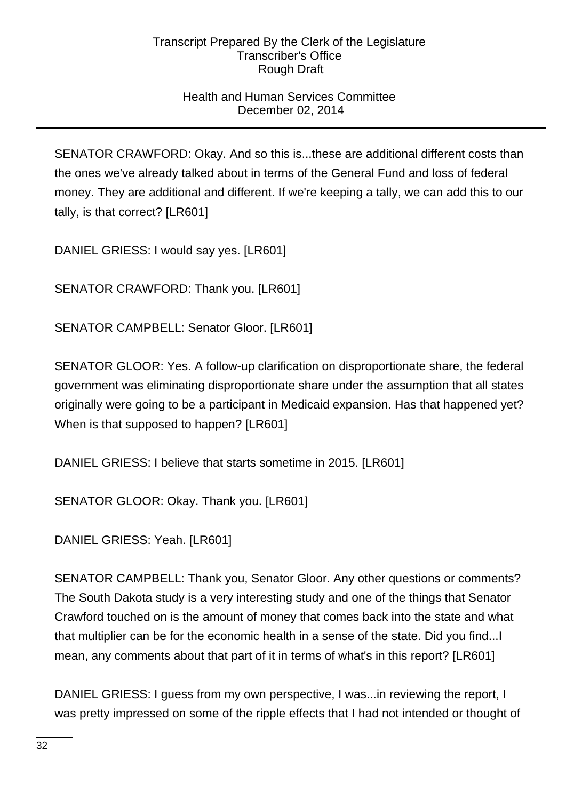# Health and Human Services Committee December 02, 2014

SENATOR CRAWFORD: Okay. And so this is...these are additional different costs than the ones we've already talked about in terms of the General Fund and loss of federal money. They are additional and different. If we're keeping a tally, we can add this to our tally, is that correct? [LR601]

DANIEL GRIESS: I would say yes. [LR601]

SENATOR CRAWFORD: Thank you. [LR601]

SENATOR CAMPBELL: Senator Gloor. [LR601]

SENATOR GLOOR: Yes. A follow-up clarification on disproportionate share, the federal government was eliminating disproportionate share under the assumption that all states originally were going to be a participant in Medicaid expansion. Has that happened yet? When is that supposed to happen? [LR601]

DANIEL GRIESS: I believe that starts sometime in 2015. [LR601]

SENATOR GLOOR: Okay. Thank you. [LR601]

DANIEL GRIESS: Yeah. [LR601]

SENATOR CAMPBELL: Thank you, Senator Gloor. Any other questions or comments? The South Dakota study is a very interesting study and one of the things that Senator Crawford touched on is the amount of money that comes back into the state and what that multiplier can be for the economic health in a sense of the state. Did you find...I mean, any comments about that part of it in terms of what's in this report? [LR601]

DANIEL GRIESS: I guess from my own perspective, I was...in reviewing the report, I was pretty impressed on some of the ripple effects that I had not intended or thought of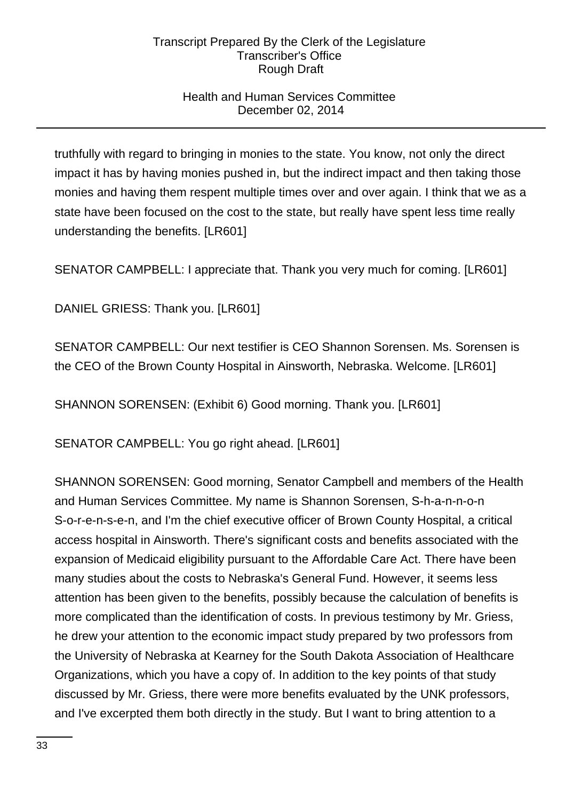# Health and Human Services Committee December 02, 2014

truthfully with regard to bringing in monies to the state. You know, not only the direct impact it has by having monies pushed in, but the indirect impact and then taking those monies and having them respent multiple times over and over again. I think that we as a state have been focused on the cost to the state, but really have spent less time really understanding the benefits. [LR601]

SENATOR CAMPBELL: I appreciate that. Thank you very much for coming. [LR601]

DANIEL GRIESS: Thank you. [LR601]

SENATOR CAMPBELL: Our next testifier is CEO Shannon Sorensen. Ms. Sorensen is the CEO of the Brown County Hospital in Ainsworth, Nebraska. Welcome. [LR601]

SHANNON SORENSEN: (Exhibit 6) Good morning. Thank you. [LR601]

SENATOR CAMPBELL: You go right ahead. [LR601]

SHANNON SORENSEN: Good morning, Senator Campbell and members of the Health and Human Services Committee. My name is Shannon Sorensen, S-h-a-n-n-o-n S-o-r-e-n-s-e-n, and I'm the chief executive officer of Brown County Hospital, a critical access hospital in Ainsworth. There's significant costs and benefits associated with the expansion of Medicaid eligibility pursuant to the Affordable Care Act. There have been many studies about the costs to Nebraska's General Fund. However, it seems less attention has been given to the benefits, possibly because the calculation of benefits is more complicated than the identification of costs. In previous testimony by Mr. Griess, he drew your attention to the economic impact study prepared by two professors from the University of Nebraska at Kearney for the South Dakota Association of Healthcare Organizations, which you have a copy of. In addition to the key points of that study discussed by Mr. Griess, there were more benefits evaluated by the UNK professors, and I've excerpted them both directly in the study. But I want to bring attention to a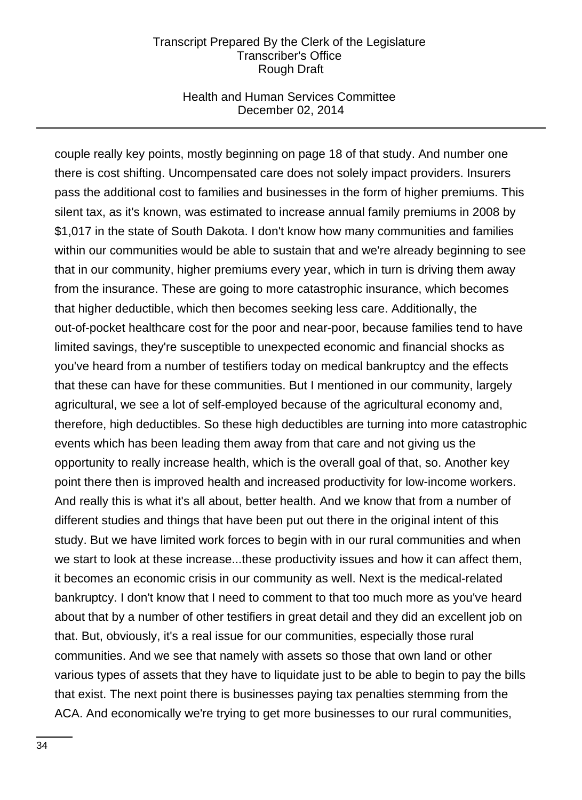### Health and Human Services Committee December 02, 2014

couple really key points, mostly beginning on page 18 of that study. And number one there is cost shifting. Uncompensated care does not solely impact providers. Insurers pass the additional cost to families and businesses in the form of higher premiums. This silent tax, as it's known, was estimated to increase annual family premiums in 2008 by \$1,017 in the state of South Dakota. I don't know how many communities and families within our communities would be able to sustain that and we're already beginning to see that in our community, higher premiums every year, which in turn is driving them away from the insurance. These are going to more catastrophic insurance, which becomes that higher deductible, which then becomes seeking less care. Additionally, the out-of-pocket healthcare cost for the poor and near-poor, because families tend to have limited savings, they're susceptible to unexpected economic and financial shocks as you've heard from a number of testifiers today on medical bankruptcy and the effects that these can have for these communities. But I mentioned in our community, largely agricultural, we see a lot of self-employed because of the agricultural economy and, therefore, high deductibles. So these high deductibles are turning into more catastrophic events which has been leading them away from that care and not giving us the opportunity to really increase health, which is the overall goal of that, so. Another key point there then is improved health and increased productivity for low-income workers. And really this is what it's all about, better health. And we know that from a number of different studies and things that have been put out there in the original intent of this study. But we have limited work forces to begin with in our rural communities and when we start to look at these increase...these productivity issues and how it can affect them, it becomes an economic crisis in our community as well. Next is the medical-related bankruptcy. I don't know that I need to comment to that too much more as you've heard about that by a number of other testifiers in great detail and they did an excellent job on that. But, obviously, it's a real issue for our communities, especially those rural communities. And we see that namely with assets so those that own land or other various types of assets that they have to liquidate just to be able to begin to pay the bills that exist. The next point there is businesses paying tax penalties stemming from the ACA. And economically we're trying to get more businesses to our rural communities,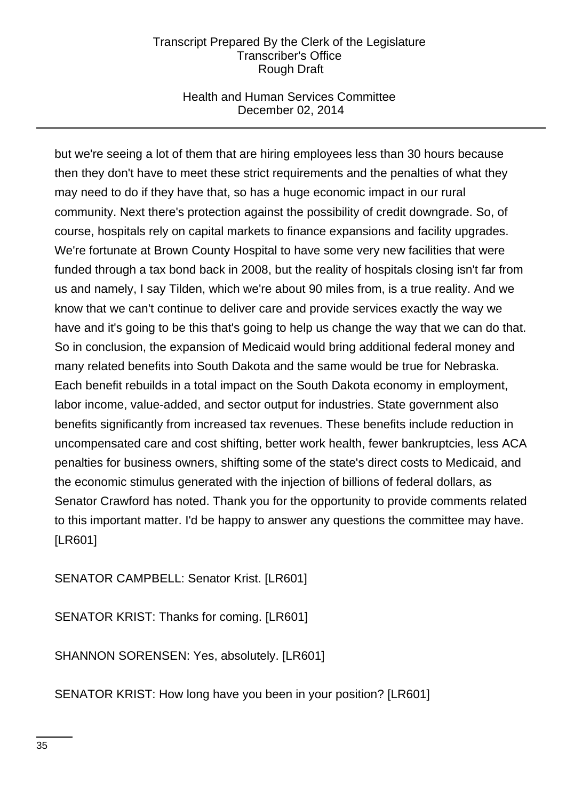## Health and Human Services Committee December 02, 2014

but we're seeing a lot of them that are hiring employees less than 30 hours because then they don't have to meet these strict requirements and the penalties of what they may need to do if they have that, so has a huge economic impact in our rural community. Next there's protection against the possibility of credit downgrade. So, of course, hospitals rely on capital markets to finance expansions and facility upgrades. We're fortunate at Brown County Hospital to have some very new facilities that were funded through a tax bond back in 2008, but the reality of hospitals closing isn't far from us and namely, I say Tilden, which we're about 90 miles from, is a true reality. And we know that we can't continue to deliver care and provide services exactly the way we have and it's going to be this that's going to help us change the way that we can do that. So in conclusion, the expansion of Medicaid would bring additional federal money and many related benefits into South Dakota and the same would be true for Nebraska. Each benefit rebuilds in a total impact on the South Dakota economy in employment, labor income, value-added, and sector output for industries. State government also benefits significantly from increased tax revenues. These benefits include reduction in uncompensated care and cost shifting, better work health, fewer bankruptcies, less ACA penalties for business owners, shifting some of the state's direct costs to Medicaid, and the economic stimulus generated with the injection of billions of federal dollars, as Senator Crawford has noted. Thank you for the opportunity to provide comments related to this important matter. I'd be happy to answer any questions the committee may have. [LR601]

SENATOR CAMPBELL: Senator Krist. [LR601]

SENATOR KRIST: Thanks for coming. [LR601]

SHANNON SORENSEN: Yes, absolutely. [LR601]

SENATOR KRIST: How long have you been in your position? [LR601]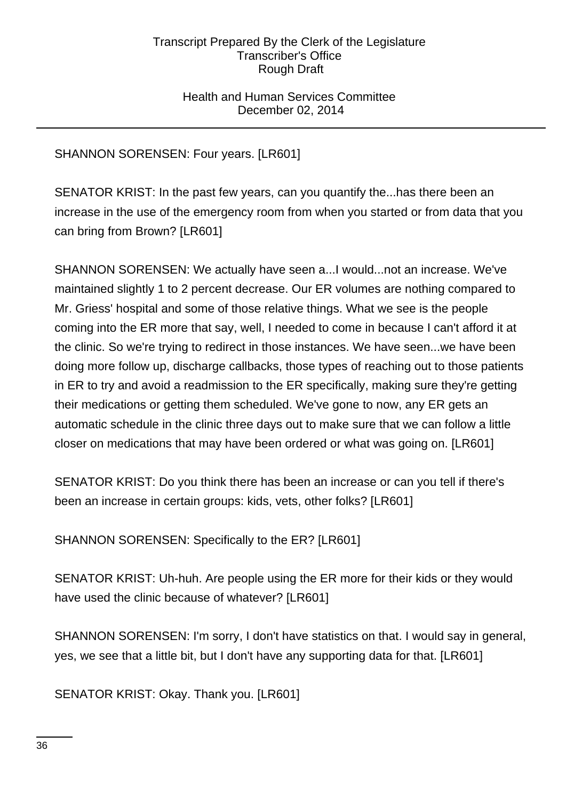## Health and Human Services Committee December 02, 2014

# SHANNON SORENSEN: Four years. [LR601]

SENATOR KRIST: In the past few years, can you quantify the...has there been an increase in the use of the emergency room from when you started or from data that you can bring from Brown? [LR601]

SHANNON SORENSEN: We actually have seen a...I would...not an increase. We've maintained slightly 1 to 2 percent decrease. Our ER volumes are nothing compared to Mr. Griess' hospital and some of those relative things. What we see is the people coming into the ER more that say, well, I needed to come in because I can't afford it at the clinic. So we're trying to redirect in those instances. We have seen...we have been doing more follow up, discharge callbacks, those types of reaching out to those patients in ER to try and avoid a readmission to the ER specifically, making sure they're getting their medications or getting them scheduled. We've gone to now, any ER gets an automatic schedule in the clinic three days out to make sure that we can follow a little closer on medications that may have been ordered or what was going on. [LR601]

SENATOR KRIST: Do you think there has been an increase or can you tell if there's been an increase in certain groups: kids, vets, other folks? [LR601]

SHANNON SORENSEN: Specifically to the ER? [LR601]

SENATOR KRIST: Uh-huh. Are people using the ER more for their kids or they would have used the clinic because of whatever? [LR601]

SHANNON SORENSEN: I'm sorry, I don't have statistics on that. I would say in general, yes, we see that a little bit, but I don't have any supporting data for that. [LR601]

SENATOR KRIST: Okay. Thank you. [LR601]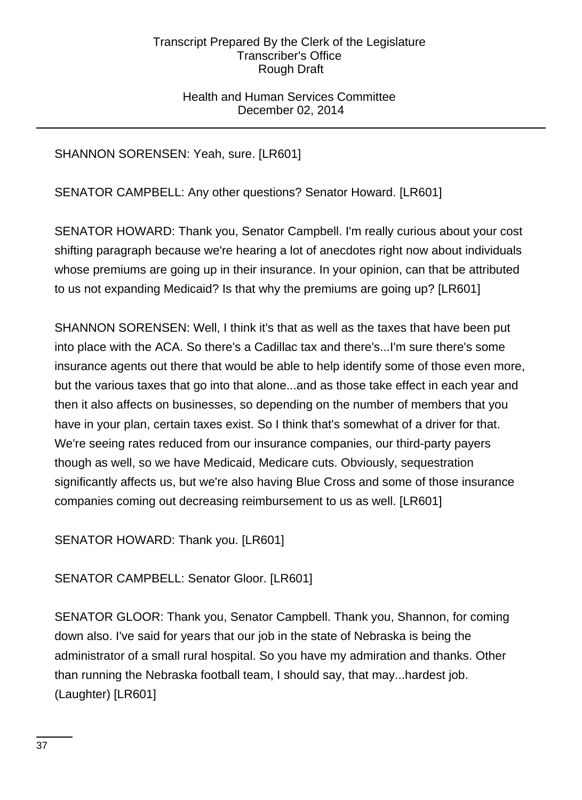## Health and Human Services Committee December 02, 2014

SHANNON SORENSEN: Yeah, sure. [LR601]

SENATOR CAMPBELL: Any other questions? Senator Howard. [LR601]

SENATOR HOWARD: Thank you, Senator Campbell. I'm really curious about your cost shifting paragraph because we're hearing a lot of anecdotes right now about individuals whose premiums are going up in their insurance. In your opinion, can that be attributed to us not expanding Medicaid? Is that why the premiums are going up? [LR601]

SHANNON SORENSEN: Well, I think it's that as well as the taxes that have been put into place with the ACA. So there's a Cadillac tax and there's...I'm sure there's some insurance agents out there that would be able to help identify some of those even more, but the various taxes that go into that alone...and as those take effect in each year and then it also affects on businesses, so depending on the number of members that you have in your plan, certain taxes exist. So I think that's somewhat of a driver for that. We're seeing rates reduced from our insurance companies, our third-party payers though as well, so we have Medicaid, Medicare cuts. Obviously, sequestration significantly affects us, but we're also having Blue Cross and some of those insurance companies coming out decreasing reimbursement to us as well. [LR601]

SENATOR HOWARD: Thank you. [LR601]

SENATOR CAMPBELL: Senator Gloor. [LR601]

SENATOR GLOOR: Thank you, Senator Campbell. Thank you, Shannon, for coming down also. I've said for years that our job in the state of Nebraska is being the administrator of a small rural hospital. So you have my admiration and thanks. Other than running the Nebraska football team, I should say, that may...hardest job. (Laughter) [LR601]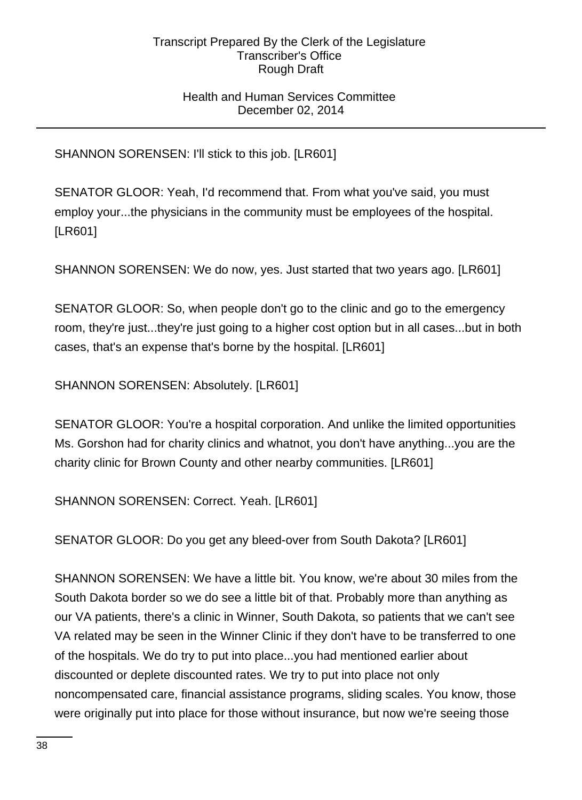## Health and Human Services Committee December 02, 2014

SHANNON SORENSEN: I'll stick to this job. [LR601]

SENATOR GLOOR: Yeah, I'd recommend that. From what you've said, you must employ your...the physicians in the community must be employees of the hospital. [LR601]

SHANNON SORENSEN: We do now, yes. Just started that two years ago. [LR601]

SENATOR GLOOR: So, when people don't go to the clinic and go to the emergency room, they're just...they're just going to a higher cost option but in all cases...but in both cases, that's an expense that's borne by the hospital. [LR601]

SHANNON SORENSEN: Absolutely. [LR601]

SENATOR GLOOR: You're a hospital corporation. And unlike the limited opportunities Ms. Gorshon had for charity clinics and whatnot, you don't have anything...you are the charity clinic for Brown County and other nearby communities. [LR601]

SHANNON SORENSEN: Correct. Yeah. [LR601]

SENATOR GLOOR: Do you get any bleed-over from South Dakota? [LR601]

SHANNON SORENSEN: We have a little bit. You know, we're about 30 miles from the South Dakota border so we do see a little bit of that. Probably more than anything as our VA patients, there's a clinic in Winner, South Dakota, so patients that we can't see VA related may be seen in the Winner Clinic if they don't have to be transferred to one of the hospitals. We do try to put into place...you had mentioned earlier about discounted or deplete discounted rates. We try to put into place not only noncompensated care, financial assistance programs, sliding scales. You know, those were originally put into place for those without insurance, but now we're seeing those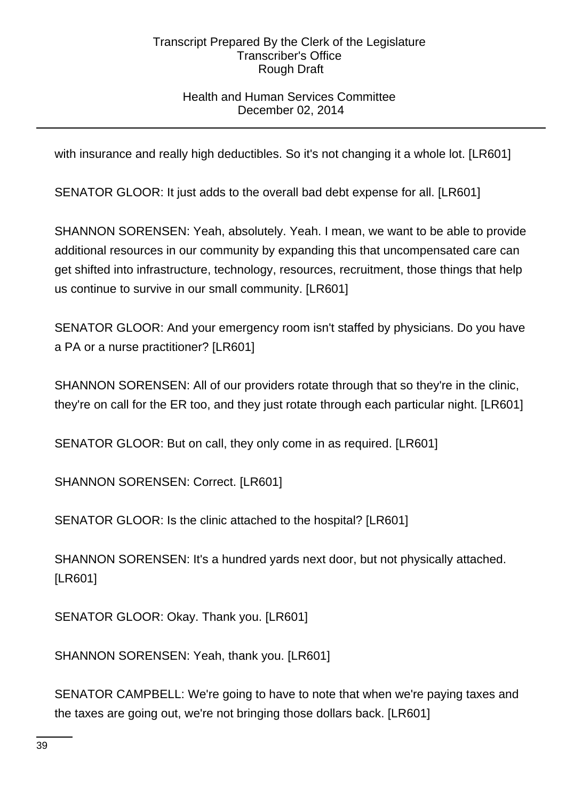# Health and Human Services Committee December 02, 2014

with insurance and really high deductibles. So it's not changing it a whole lot. [LR601]

SENATOR GLOOR: It just adds to the overall bad debt expense for all. [LR601]

SHANNON SORENSEN: Yeah, absolutely. Yeah. I mean, we want to be able to provide additional resources in our community by expanding this that uncompensated care can get shifted into infrastructure, technology, resources, recruitment, those things that help us continue to survive in our small community. [LR601]

SENATOR GLOOR: And your emergency room isn't staffed by physicians. Do you have a PA or a nurse practitioner? [LR601]

SHANNON SORENSEN: All of our providers rotate through that so they're in the clinic, they're on call for the ER too, and they just rotate through each particular night. [LR601]

SENATOR GLOOR: But on call, they only come in as required. [LR601]

SHANNON SORENSEN: Correct. [LR601]

SENATOR GLOOR: Is the clinic attached to the hospital? [LR601]

SHANNON SORENSEN: It's a hundred yards next door, but not physically attached. [LR601]

SENATOR GLOOR: Okay. Thank you. [LR601]

SHANNON SORENSEN: Yeah, thank you. [LR601]

SENATOR CAMPBELL: We're going to have to note that when we're paying taxes and the taxes are going out, we're not bringing those dollars back. [LR601]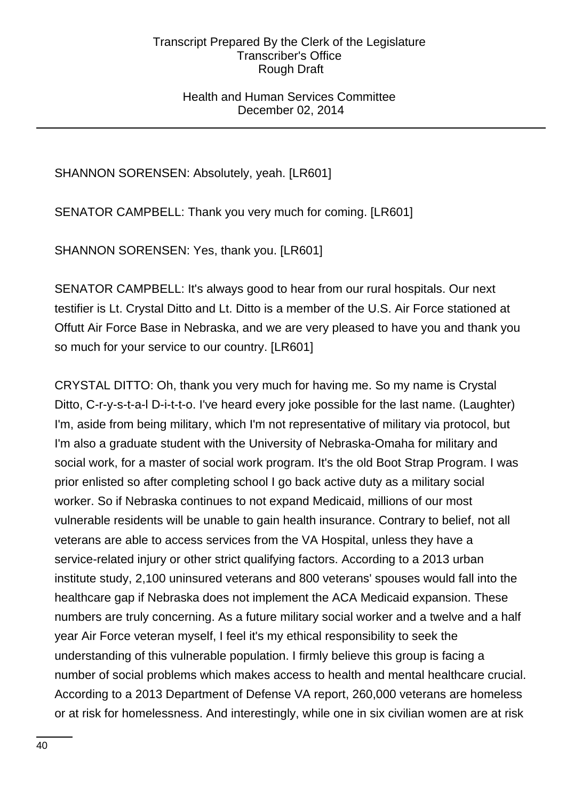### Health and Human Services Committee December 02, 2014

# SHANNON SORENSEN: Absolutely, yeah. [LR601]

SENATOR CAMPBELL: Thank you very much for coming. [LR601]

SHANNON SORENSEN: Yes, thank you. [LR601]

SENATOR CAMPBELL: It's always good to hear from our rural hospitals. Our next testifier is Lt. Crystal Ditto and Lt. Ditto is a member of the U.S. Air Force stationed at Offutt Air Force Base in Nebraska, and we are very pleased to have you and thank you so much for your service to our country. [LR601]

CRYSTAL DITTO: Oh, thank you very much for having me. So my name is Crystal Ditto, C-r-y-s-t-a-l D-i-t-t-o. I've heard every joke possible for the last name. (Laughter) I'm, aside from being military, which I'm not representative of military via protocol, but I'm also a graduate student with the University of Nebraska-Omaha for military and social work, for a master of social work program. It's the old Boot Strap Program. I was prior enlisted so after completing school I go back active duty as a military social worker. So if Nebraska continues to not expand Medicaid, millions of our most vulnerable residents will be unable to gain health insurance. Contrary to belief, not all veterans are able to access services from the VA Hospital, unless they have a service-related injury or other strict qualifying factors. According to a 2013 urban institute study, 2,100 uninsured veterans and 800 veterans' spouses would fall into the healthcare gap if Nebraska does not implement the ACA Medicaid expansion. These numbers are truly concerning. As a future military social worker and a twelve and a half year Air Force veteran myself, I feel it's my ethical responsibility to seek the understanding of this vulnerable population. I firmly believe this group is facing a number of social problems which makes access to health and mental healthcare crucial. According to a 2013 Department of Defense VA report, 260,000 veterans are homeless or at risk for homelessness. And interestingly, while one in six civilian women are at risk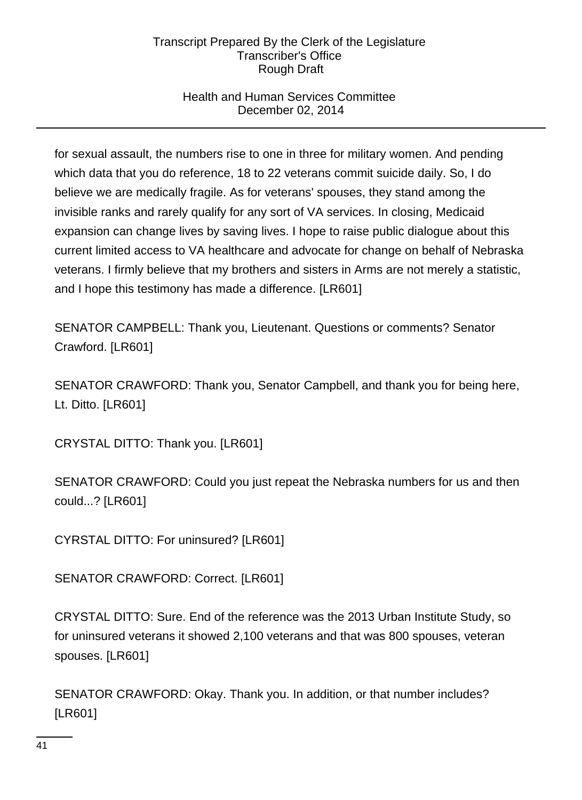# Health and Human Services Committee December 02, 2014

for sexual assault, the numbers rise to one in three for military women. And pending which data that you do reference, 18 to 22 veterans commit suicide daily. So, I do believe we are medically fragile. As for veterans' spouses, they stand among the invisible ranks and rarely qualify for any sort of VA services. In closing, Medicaid expansion can change lives by saving lives. I hope to raise public dialogue about this current limited access to VA healthcare and advocate for change on behalf of Nebraska veterans. I firmly believe that my brothers and sisters in Arms are not merely a statistic, and I hope this testimony has made a difference. [LR601]

SENATOR CAMPBELL: Thank you, Lieutenant. Questions or comments? Senator Crawford. [LR601]

SENATOR CRAWFORD: Thank you, Senator Campbell, and thank you for being here, Lt. Ditto. [LR601]

CRYSTAL DITTO: Thank you. [LR601]

SENATOR CRAWFORD: Could you just repeat the Nebraska numbers for us and then could...? [LR601]

CYRSTAL DITTO: For uninsured? [LR601]

SENATOR CRAWFORD: Correct. [LR601]

CRYSTAL DITTO: Sure. End of the reference was the 2013 Urban Institute Study, so for uninsured veterans it showed 2,100 veterans and that was 800 spouses, veteran spouses. [LR601]

SENATOR CRAWFORD: Okay. Thank you. In addition, or that number includes? [LR601]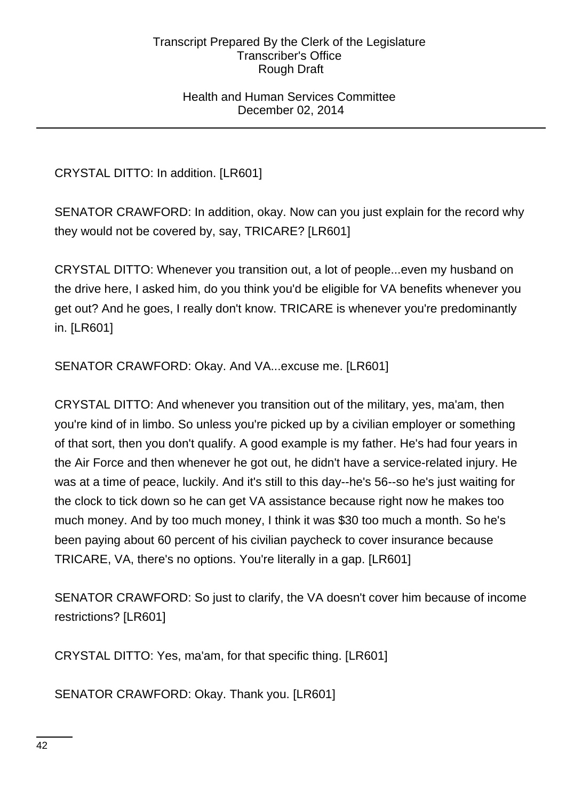### Health and Human Services Committee December 02, 2014

CRYSTAL DITTO: In addition. [LR601]

SENATOR CRAWFORD: In addition, okay. Now can you just explain for the record why they would not be covered by, say, TRICARE? [LR601]

CRYSTAL DITTO: Whenever you transition out, a lot of people...even my husband on the drive here, I asked him, do you think you'd be eligible for VA benefits whenever you get out? And he goes, I really don't know. TRICARE is whenever you're predominantly in. [LR601]

SENATOR CRAWFORD: Okay. And VA...excuse me. [LR601]

CRYSTAL DITTO: And whenever you transition out of the military, yes, ma'am, then you're kind of in limbo. So unless you're picked up by a civilian employer or something of that sort, then you don't qualify. A good example is my father. He's had four years in the Air Force and then whenever he got out, he didn't have a service-related injury. He was at a time of peace, luckily. And it's still to this day--he's 56--so he's just waiting for the clock to tick down so he can get VA assistance because right now he makes too much money. And by too much money, I think it was \$30 too much a month. So he's been paying about 60 percent of his civilian paycheck to cover insurance because TRICARE, VA, there's no options. You're literally in a gap. [LR601]

SENATOR CRAWFORD: So just to clarify, the VA doesn't cover him because of income restrictions? [LR601]

CRYSTAL DITTO: Yes, ma'am, for that specific thing. [LR601]

SENATOR CRAWFORD: Okay. Thank you. [LR601]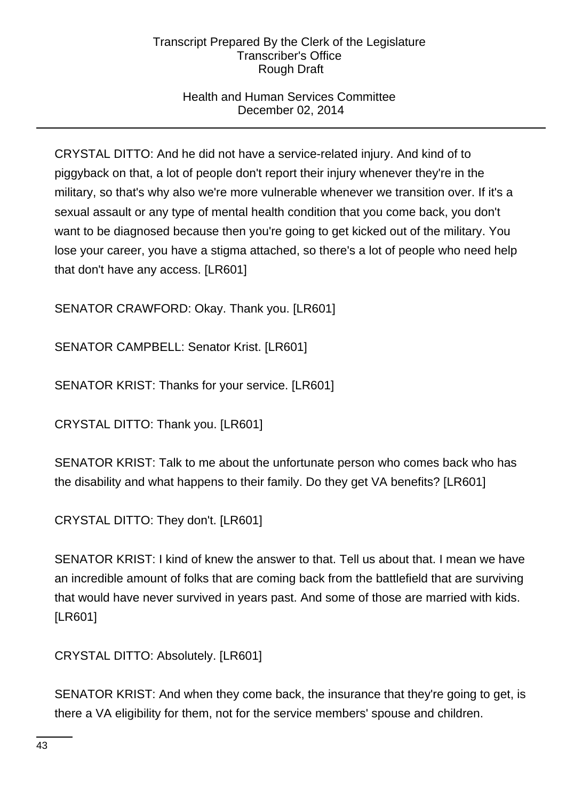# Health and Human Services Committee December 02, 2014

CRYSTAL DITTO: And he did not have a service-related injury. And kind of to piggyback on that, a lot of people don't report their injury whenever they're in the military, so that's why also we're more vulnerable whenever we transition over. If it's a sexual assault or any type of mental health condition that you come back, you don't want to be diagnosed because then you're going to get kicked out of the military. You lose your career, you have a stigma attached, so there's a lot of people who need help that don't have any access. [LR601]

SENATOR CRAWFORD: Okay. Thank you. [LR601]

SENATOR CAMPBELL: Senator Krist. [LR601]

SENATOR KRIST: Thanks for your service. [LR601]

CRYSTAL DITTO: Thank you. [LR601]

SENATOR KRIST: Talk to me about the unfortunate person who comes back who has the disability and what happens to their family. Do they get VA benefits? [LR601]

CRYSTAL DITTO: They don't. [LR601]

SENATOR KRIST: I kind of knew the answer to that. Tell us about that. I mean we have an incredible amount of folks that are coming back from the battlefield that are surviving that would have never survived in years past. And some of those are married with kids. [LR601]

CRYSTAL DITTO: Absolutely. [LR601]

SENATOR KRIST: And when they come back, the insurance that they're going to get, is there a VA eligibility for them, not for the service members' spouse and children.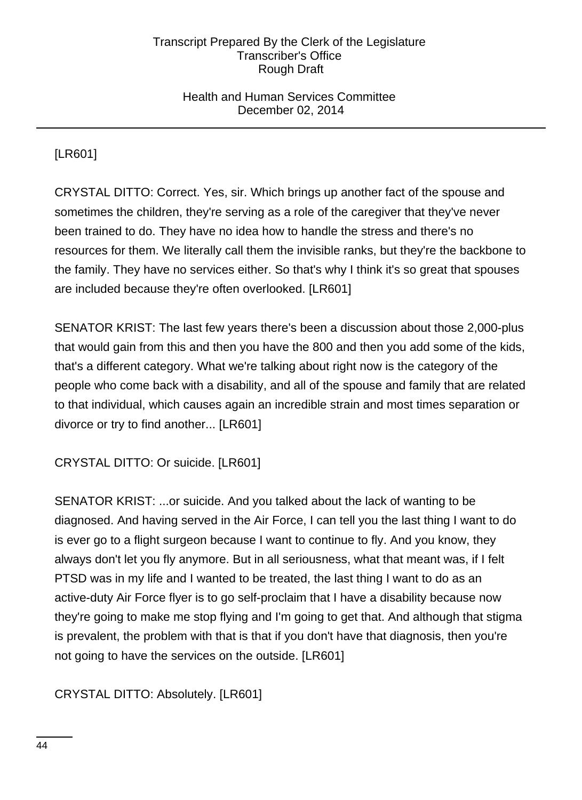## Health and Human Services Committee December 02, 2014

[LR601]

CRYSTAL DITTO: Correct. Yes, sir. Which brings up another fact of the spouse and sometimes the children, they're serving as a role of the caregiver that they've never been trained to do. They have no idea how to handle the stress and there's no resources for them. We literally call them the invisible ranks, but they're the backbone to the family. They have no services either. So that's why I think it's so great that spouses are included because they're often overlooked. [LR601]

SENATOR KRIST: The last few years there's been a discussion about those 2,000-plus that would gain from this and then you have the 800 and then you add some of the kids, that's a different category. What we're talking about right now is the category of the people who come back with a disability, and all of the spouse and family that are related to that individual, which causes again an incredible strain and most times separation or divorce or try to find another... [LR601]

CRYSTAL DITTO: Or suicide. [LR601]

SENATOR KRIST: ...or suicide. And you talked about the lack of wanting to be diagnosed. And having served in the Air Force, I can tell you the last thing I want to do is ever go to a flight surgeon because I want to continue to fly. And you know, they always don't let you fly anymore. But in all seriousness, what that meant was, if I felt PTSD was in my life and I wanted to be treated, the last thing I want to do as an active-duty Air Force flyer is to go self-proclaim that I have a disability because now they're going to make me stop flying and I'm going to get that. And although that stigma is prevalent, the problem with that is that if you don't have that diagnosis, then you're not going to have the services on the outside. [LR601]

CRYSTAL DITTO: Absolutely. [LR601]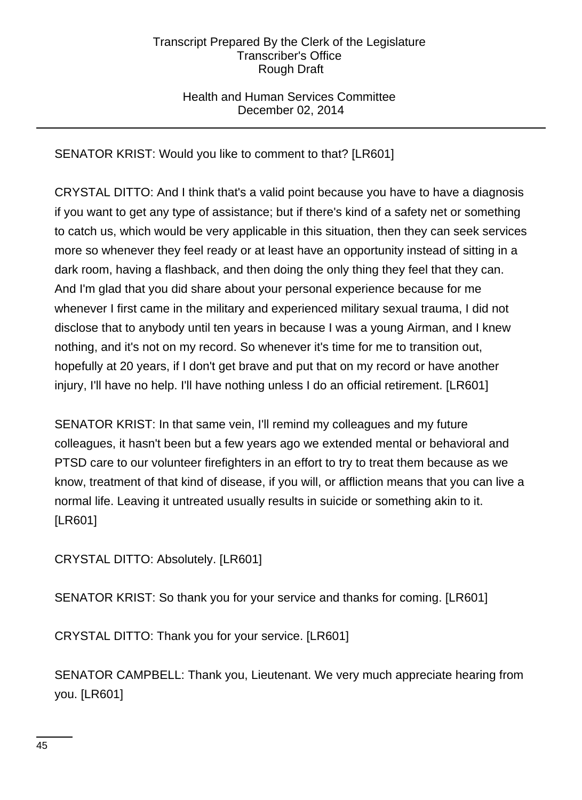## Health and Human Services Committee December 02, 2014

SENATOR KRIST: Would you like to comment to that? [LR601]

CRYSTAL DITTO: And I think that's a valid point because you have to have a diagnosis if you want to get any type of assistance; but if there's kind of a safety net or something to catch us, which would be very applicable in this situation, then they can seek services more so whenever they feel ready or at least have an opportunity instead of sitting in a dark room, having a flashback, and then doing the only thing they feel that they can. And I'm glad that you did share about your personal experience because for me whenever I first came in the military and experienced military sexual trauma, I did not disclose that to anybody until ten years in because I was a young Airman, and I knew nothing, and it's not on my record. So whenever it's time for me to transition out, hopefully at 20 years, if I don't get brave and put that on my record or have another injury, I'll have no help. I'll have nothing unless I do an official retirement. [LR601]

SENATOR KRIST: In that same vein, I'll remind my colleagues and my future colleagues, it hasn't been but a few years ago we extended mental or behavioral and PTSD care to our volunteer firefighters in an effort to try to treat them because as we know, treatment of that kind of disease, if you will, or affliction means that you can live a normal life. Leaving it untreated usually results in suicide or something akin to it. [LR601]

CRYSTAL DITTO: Absolutely. [LR601]

SENATOR KRIST: So thank you for your service and thanks for coming. [LR601]

CRYSTAL DITTO: Thank you for your service. [LR601]

SENATOR CAMPBELL: Thank you, Lieutenant. We very much appreciate hearing from you. [LR601]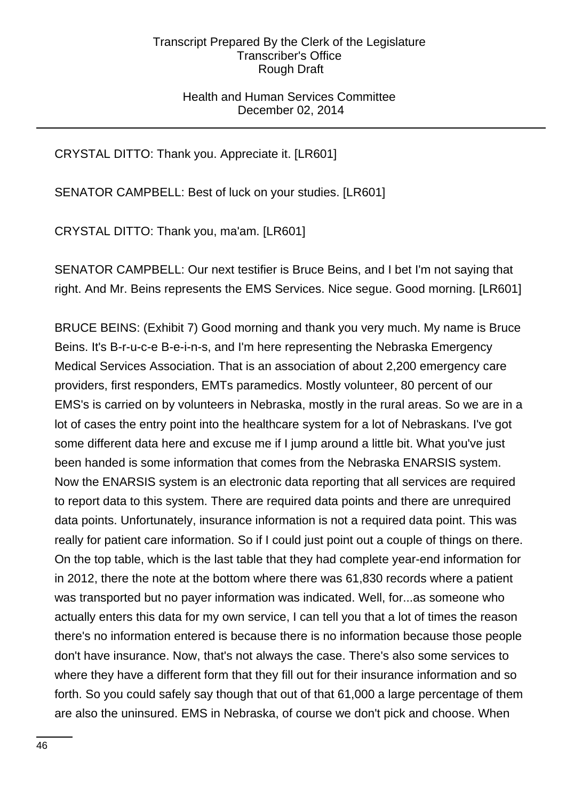## Health and Human Services Committee December 02, 2014

CRYSTAL DITTO: Thank you. Appreciate it. [LR601]

SENATOR CAMPBELL: Best of luck on your studies. [LR601]

CRYSTAL DITTO: Thank you, ma'am. [LR601]

SENATOR CAMPBELL: Our next testifier is Bruce Beins, and I bet I'm not saying that right. And Mr. Beins represents the EMS Services. Nice segue. Good morning. [LR601]

BRUCE BEINS: (Exhibit 7) Good morning and thank you very much. My name is Bruce Beins. It's B-r-u-c-e B-e-i-n-s, and I'm here representing the Nebraska Emergency Medical Services Association. That is an association of about 2,200 emergency care providers, first responders, EMTs paramedics. Mostly volunteer, 80 percent of our EMS's is carried on by volunteers in Nebraska, mostly in the rural areas. So we are in a lot of cases the entry point into the healthcare system for a lot of Nebraskans. I've got some different data here and excuse me if I jump around a little bit. What you've just been handed is some information that comes from the Nebraska ENARSIS system. Now the ENARSIS system is an electronic data reporting that all services are required to report data to this system. There are required data points and there are unrequired data points. Unfortunately, insurance information is not a required data point. This was really for patient care information. So if I could just point out a couple of things on there. On the top table, which is the last table that they had complete year-end information for in 2012, there the note at the bottom where there was 61,830 records where a patient was transported but no payer information was indicated. Well, for...as someone who actually enters this data for my own service, I can tell you that a lot of times the reason there's no information entered is because there is no information because those people don't have insurance. Now, that's not always the case. There's also some services to where they have a different form that they fill out for their insurance information and so forth. So you could safely say though that out of that 61,000 a large percentage of them are also the uninsured. EMS in Nebraska, of course we don't pick and choose. When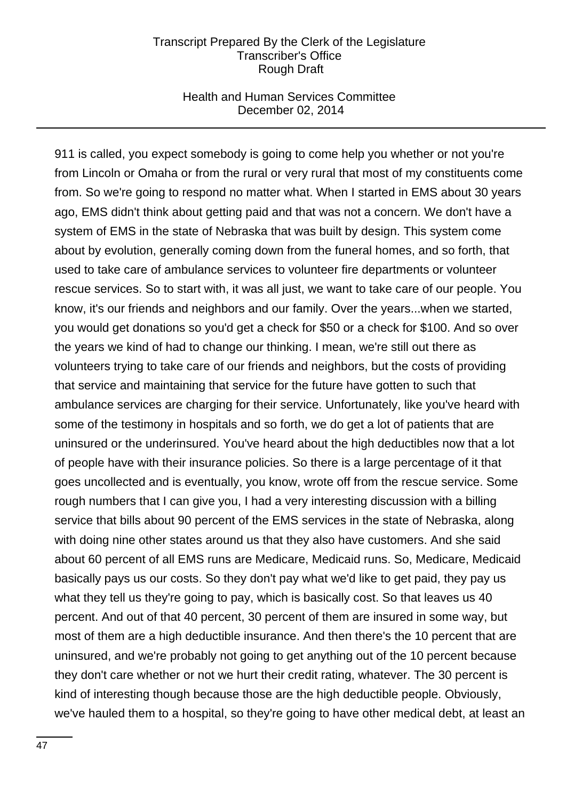### Health and Human Services Committee December 02, 2014

911 is called, you expect somebody is going to come help you whether or not you're from Lincoln or Omaha or from the rural or very rural that most of my constituents come from. So we're going to respond no matter what. When I started in EMS about 30 years ago, EMS didn't think about getting paid and that was not a concern. We don't have a system of EMS in the state of Nebraska that was built by design. This system come about by evolution, generally coming down from the funeral homes, and so forth, that used to take care of ambulance services to volunteer fire departments or volunteer rescue services. So to start with, it was all just, we want to take care of our people. You know, it's our friends and neighbors and our family. Over the years...when we started, you would get donations so you'd get a check for \$50 or a check for \$100. And so over the years we kind of had to change our thinking. I mean, we're still out there as volunteers trying to take care of our friends and neighbors, but the costs of providing that service and maintaining that service for the future have gotten to such that ambulance services are charging for their service. Unfortunately, like you've heard with some of the testimony in hospitals and so forth, we do get a lot of patients that are uninsured or the underinsured. You've heard about the high deductibles now that a lot of people have with their insurance policies. So there is a large percentage of it that goes uncollected and is eventually, you know, wrote off from the rescue service. Some rough numbers that I can give you, I had a very interesting discussion with a billing service that bills about 90 percent of the EMS services in the state of Nebraska, along with doing nine other states around us that they also have customers. And she said about 60 percent of all EMS runs are Medicare, Medicaid runs. So, Medicare, Medicaid basically pays us our costs. So they don't pay what we'd like to get paid, they pay us what they tell us they're going to pay, which is basically cost. So that leaves us 40 percent. And out of that 40 percent, 30 percent of them are insured in some way, but most of them are a high deductible insurance. And then there's the 10 percent that are uninsured, and we're probably not going to get anything out of the 10 percent because they don't care whether or not we hurt their credit rating, whatever. The 30 percent is kind of interesting though because those are the high deductible people. Obviously, we've hauled them to a hospital, so they're going to have other medical debt, at least an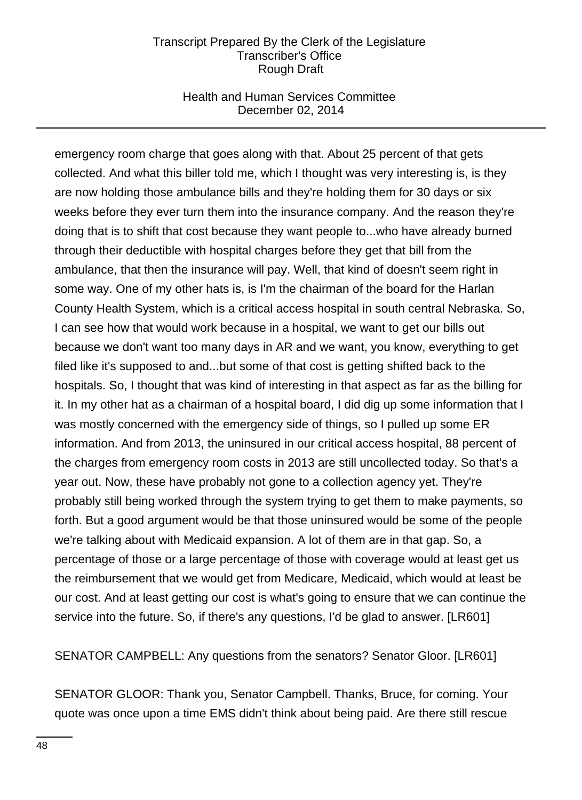## Health and Human Services Committee December 02, 2014

emergency room charge that goes along with that. About 25 percent of that gets collected. And what this biller told me, which I thought was very interesting is, is they are now holding those ambulance bills and they're holding them for 30 days or six weeks before they ever turn them into the insurance company. And the reason they're doing that is to shift that cost because they want people to...who have already burned through their deductible with hospital charges before they get that bill from the ambulance, that then the insurance will pay. Well, that kind of doesn't seem right in some way. One of my other hats is, is I'm the chairman of the board for the Harlan County Health System, which is a critical access hospital in south central Nebraska. So, I can see how that would work because in a hospital, we want to get our bills out because we don't want too many days in AR and we want, you know, everything to get filed like it's supposed to and...but some of that cost is getting shifted back to the hospitals. So, I thought that was kind of interesting in that aspect as far as the billing for it. In my other hat as a chairman of a hospital board, I did dig up some information that I was mostly concerned with the emergency side of things, so I pulled up some ER information. And from 2013, the uninsured in our critical access hospital, 88 percent of the charges from emergency room costs in 2013 are still uncollected today. So that's a year out. Now, these have probably not gone to a collection agency yet. They're probably still being worked through the system trying to get them to make payments, so forth. But a good argument would be that those uninsured would be some of the people we're talking about with Medicaid expansion. A lot of them are in that gap. So, a percentage of those or a large percentage of those with coverage would at least get us the reimbursement that we would get from Medicare, Medicaid, which would at least be our cost. And at least getting our cost is what's going to ensure that we can continue the service into the future. So, if there's any questions, I'd be glad to answer. [LR601]

SENATOR CAMPBELL: Any questions from the senators? Senator Gloor. [LR601]

SENATOR GLOOR: Thank you, Senator Campbell. Thanks, Bruce, for coming. Your quote was once upon a time EMS didn't think about being paid. Are there still rescue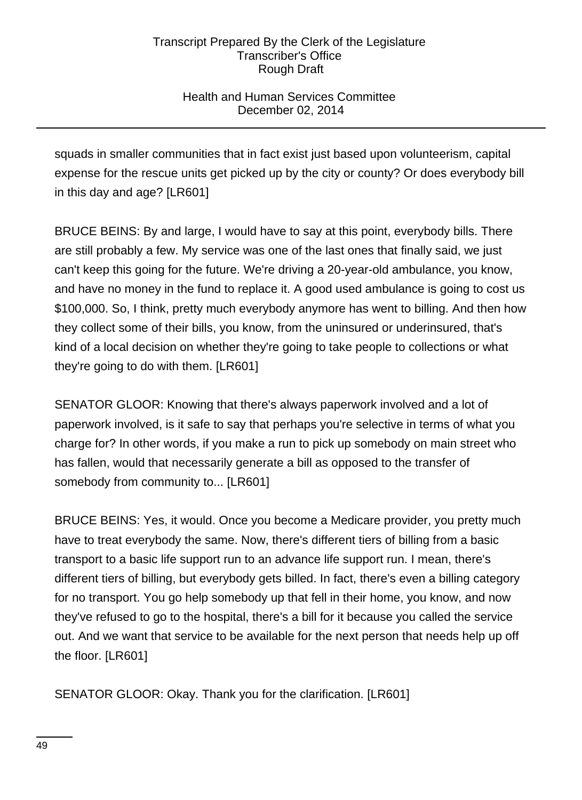# Health and Human Services Committee December 02, 2014

squads in smaller communities that in fact exist just based upon volunteerism, capital expense for the rescue units get picked up by the city or county? Or does everybody bill in this day and age? [LR601]

BRUCE BEINS: By and large, I would have to say at this point, everybody bills. There are still probably a few. My service was one of the last ones that finally said, we just can't keep this going for the future. We're driving a 20-year-old ambulance, you know, and have no money in the fund to replace it. A good used ambulance is going to cost us \$100,000. So, I think, pretty much everybody anymore has went to billing. And then how they collect some of their bills, you know, from the uninsured or underinsured, that's kind of a local decision on whether they're going to take people to collections or what they're going to do with them. [LR601]

SENATOR GLOOR: Knowing that there's always paperwork involved and a lot of paperwork involved, is it safe to say that perhaps you're selective in terms of what you charge for? In other words, if you make a run to pick up somebody on main street who has fallen, would that necessarily generate a bill as opposed to the transfer of somebody from community to... [LR601]

BRUCE BEINS: Yes, it would. Once you become a Medicare provider, you pretty much have to treat everybody the same. Now, there's different tiers of billing from a basic transport to a basic life support run to an advance life support run. I mean, there's different tiers of billing, but everybody gets billed. In fact, there's even a billing category for no transport. You go help somebody up that fell in their home, you know, and now they've refused to go to the hospital, there's a bill for it because you called the service out. And we want that service to be available for the next person that needs help up off the floor. [LR601]

SENATOR GLOOR: Okay. Thank you for the clarification. [LR601]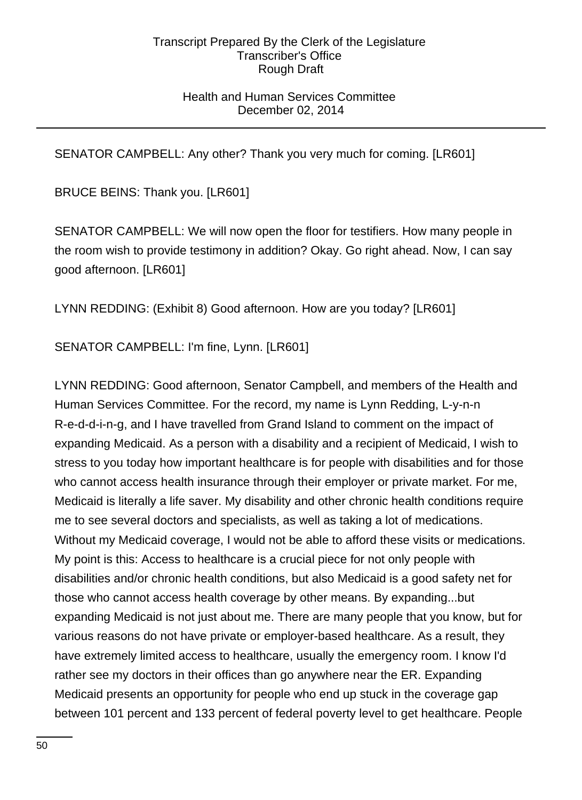## Health and Human Services Committee December 02, 2014

SENATOR CAMPBELL: Any other? Thank you very much for coming. [LR601]

BRUCE BEINS: Thank you. [LR601]

SENATOR CAMPBELL: We will now open the floor for testifiers. How many people in the room wish to provide testimony in addition? Okay. Go right ahead. Now, I can say good afternoon. [LR601]

LYNN REDDING: (Exhibit 8) Good afternoon. How are you today? [LR601]

SENATOR CAMPBELL: I'm fine, Lynn. [LR601]

LYNN REDDING: Good afternoon, Senator Campbell, and members of the Health and Human Services Committee. For the record, my name is Lynn Redding, L-y-n-n R-e-d-d-i-n-g, and I have travelled from Grand Island to comment on the impact of expanding Medicaid. As a person with a disability and a recipient of Medicaid, I wish to stress to you today how important healthcare is for people with disabilities and for those who cannot access health insurance through their employer or private market. For me, Medicaid is literally a life saver. My disability and other chronic health conditions require me to see several doctors and specialists, as well as taking a lot of medications. Without my Medicaid coverage, I would not be able to afford these visits or medications. My point is this: Access to healthcare is a crucial piece for not only people with disabilities and/or chronic health conditions, but also Medicaid is a good safety net for those who cannot access health coverage by other means. By expanding...but expanding Medicaid is not just about me. There are many people that you know, but for various reasons do not have private or employer-based healthcare. As a result, they have extremely limited access to healthcare, usually the emergency room. I know I'd rather see my doctors in their offices than go anywhere near the ER. Expanding Medicaid presents an opportunity for people who end up stuck in the coverage gap between 101 percent and 133 percent of federal poverty level to get healthcare. People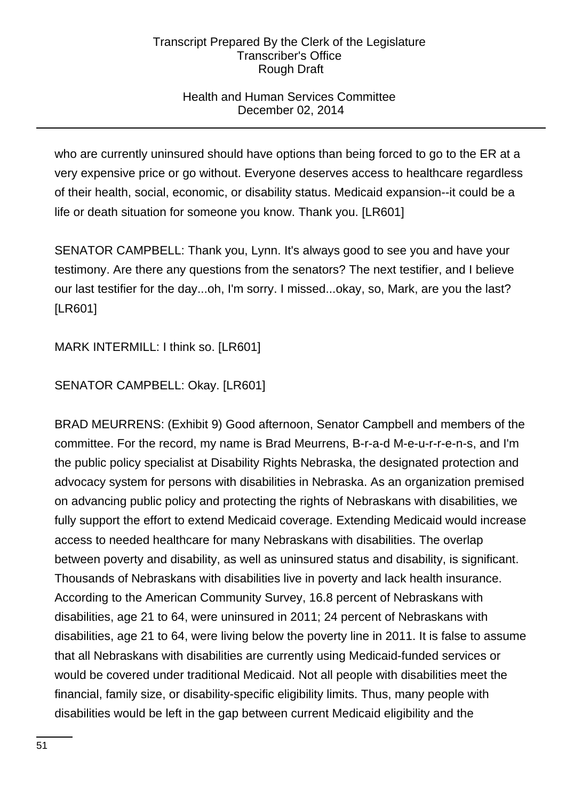# Health and Human Services Committee December 02, 2014

who are currently uninsured should have options than being forced to go to the ER at a very expensive price or go without. Everyone deserves access to healthcare regardless of their health, social, economic, or disability status. Medicaid expansion--it could be a life or death situation for someone you know. Thank you. [LR601]

SENATOR CAMPBELL: Thank you, Lynn. It's always good to see you and have your testimony. Are there any questions from the senators? The next testifier, and I believe our last testifier for the day...oh, I'm sorry. I missed...okay, so, Mark, are you the last? [LR601]

MARK INTERMILL: I think so. [LR601]

# SENATOR CAMPBELL: Okay. [LR601]

BRAD MEURRENS: (Exhibit 9) Good afternoon, Senator Campbell and members of the committee. For the record, my name is Brad Meurrens, B-r-a-d M-e-u-r-r-e-n-s, and I'm the public policy specialist at Disability Rights Nebraska, the designated protection and advocacy system for persons with disabilities in Nebraska. As an organization premised on advancing public policy and protecting the rights of Nebraskans with disabilities, we fully support the effort to extend Medicaid coverage. Extending Medicaid would increase access to needed healthcare for many Nebraskans with disabilities. The overlap between poverty and disability, as well as uninsured status and disability, is significant. Thousands of Nebraskans with disabilities live in poverty and lack health insurance. According to the American Community Survey, 16.8 percent of Nebraskans with disabilities, age 21 to 64, were uninsured in 2011; 24 percent of Nebraskans with disabilities, age 21 to 64, were living below the poverty line in 2011. It is false to assume that all Nebraskans with disabilities are currently using Medicaid-funded services or would be covered under traditional Medicaid. Not all people with disabilities meet the financial, family size, or disability-specific eligibility limits. Thus, many people with disabilities would be left in the gap between current Medicaid eligibility and the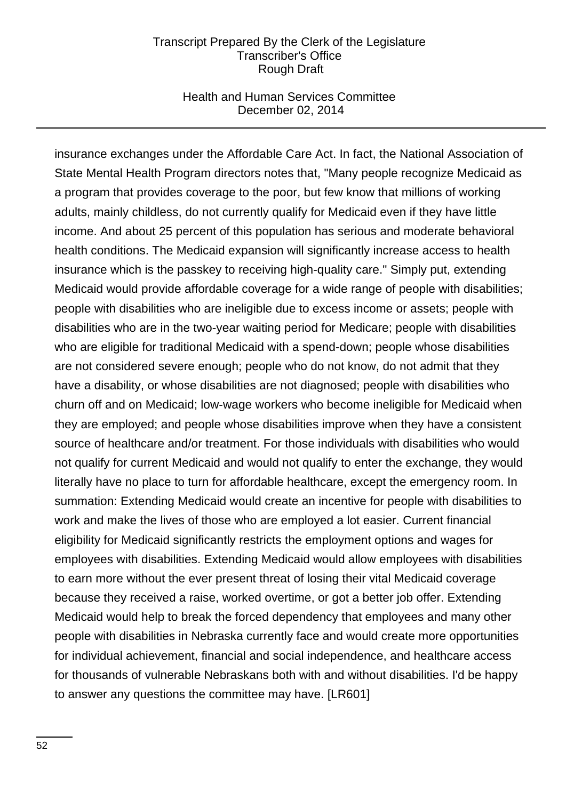### Health and Human Services Committee December 02, 2014

insurance exchanges under the Affordable Care Act. In fact, the National Association of State Mental Health Program directors notes that, "Many people recognize Medicaid as a program that provides coverage to the poor, but few know that millions of working adults, mainly childless, do not currently qualify for Medicaid even if they have little income. And about 25 percent of this population has serious and moderate behavioral health conditions. The Medicaid expansion will significantly increase access to health insurance which is the passkey to receiving high-quality care." Simply put, extending Medicaid would provide affordable coverage for a wide range of people with disabilities; people with disabilities who are ineligible due to excess income or assets; people with disabilities who are in the two-year waiting period for Medicare; people with disabilities who are eligible for traditional Medicaid with a spend-down; people whose disabilities are not considered severe enough; people who do not know, do not admit that they have a disability, or whose disabilities are not diagnosed; people with disabilities who churn off and on Medicaid; low-wage workers who become ineligible for Medicaid when they are employed; and people whose disabilities improve when they have a consistent source of healthcare and/or treatment. For those individuals with disabilities who would not qualify for current Medicaid and would not qualify to enter the exchange, they would literally have no place to turn for affordable healthcare, except the emergency room. In summation: Extending Medicaid would create an incentive for people with disabilities to work and make the lives of those who are employed a lot easier. Current financial eligibility for Medicaid significantly restricts the employment options and wages for employees with disabilities. Extending Medicaid would allow employees with disabilities to earn more without the ever present threat of losing their vital Medicaid coverage because they received a raise, worked overtime, or got a better job offer. Extending Medicaid would help to break the forced dependency that employees and many other people with disabilities in Nebraska currently face and would create more opportunities for individual achievement, financial and social independence, and healthcare access for thousands of vulnerable Nebraskans both with and without disabilities. I'd be happy to answer any questions the committee may have. [LR601]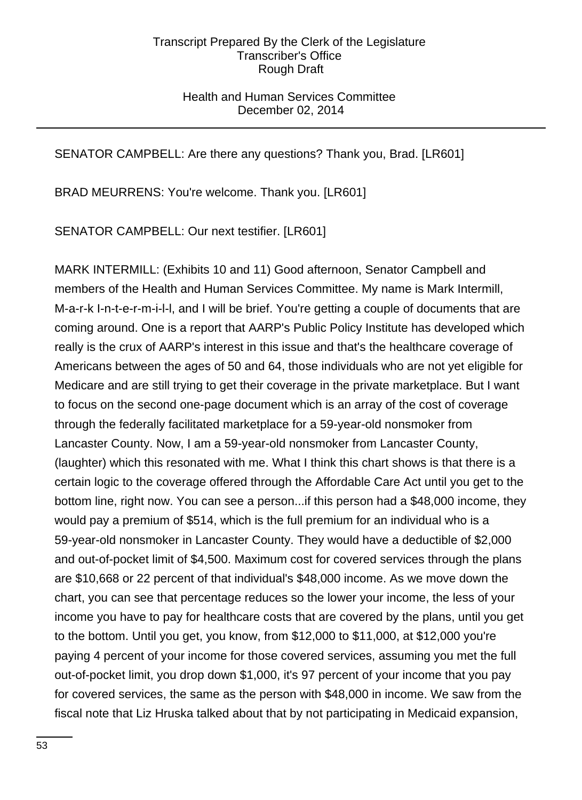## Health and Human Services Committee December 02, 2014

# SENATOR CAMPBELL: Are there any questions? Thank you, Brad. [LR601]

BRAD MEURRENS: You're welcome. Thank you. [LR601]

SENATOR CAMPBELL: Our next testifier. [LR601]

MARK INTERMILL: (Exhibits 10 and 11) Good afternoon, Senator Campbell and members of the Health and Human Services Committee. My name is Mark Intermill, M-a-r-k I-n-t-e-r-m-i-l-l, and I will be brief. You're getting a couple of documents that are coming around. One is a report that AARP's Public Policy Institute has developed which really is the crux of AARP's interest in this issue and that's the healthcare coverage of Americans between the ages of 50 and 64, those individuals who are not yet eligible for Medicare and are still trying to get their coverage in the private marketplace. But I want to focus on the second one-page document which is an array of the cost of coverage through the federally facilitated marketplace for a 59-year-old nonsmoker from Lancaster County. Now, I am a 59-year-old nonsmoker from Lancaster County, (laughter) which this resonated with me. What I think this chart shows is that there is a certain logic to the coverage offered through the Affordable Care Act until you get to the bottom line, right now. You can see a person...if this person had a \$48,000 income, they would pay a premium of \$514, which is the full premium for an individual who is a 59-year-old nonsmoker in Lancaster County. They would have a deductible of \$2,000 and out-of-pocket limit of \$4,500. Maximum cost for covered services through the plans are \$10,668 or 22 percent of that individual's \$48,000 income. As we move down the chart, you can see that percentage reduces so the lower your income, the less of your income you have to pay for healthcare costs that are covered by the plans, until you get to the bottom. Until you get, you know, from \$12,000 to \$11,000, at \$12,000 you're paying 4 percent of your income for those covered services, assuming you met the full out-of-pocket limit, you drop down \$1,000, it's 97 percent of your income that you pay for covered services, the same as the person with \$48,000 in income. We saw from the fiscal note that Liz Hruska talked about that by not participating in Medicaid expansion,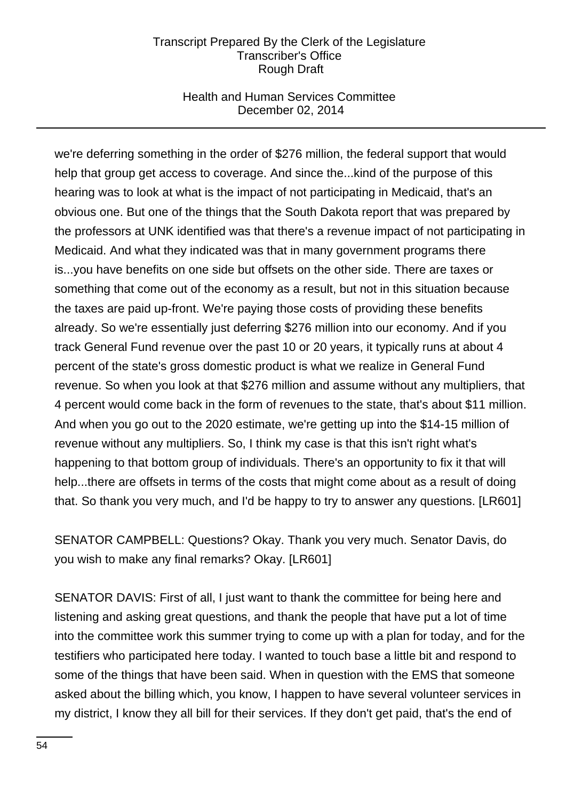## Health and Human Services Committee December 02, 2014

we're deferring something in the order of \$276 million, the federal support that would help that group get access to coverage. And since the...kind of the purpose of this hearing was to look at what is the impact of not participating in Medicaid, that's an obvious one. But one of the things that the South Dakota report that was prepared by the professors at UNK identified was that there's a revenue impact of not participating in Medicaid. And what they indicated was that in many government programs there is...you have benefits on one side but offsets on the other side. There are taxes or something that come out of the economy as a result, but not in this situation because the taxes are paid up-front. We're paying those costs of providing these benefits already. So we're essentially just deferring \$276 million into our economy. And if you track General Fund revenue over the past 10 or 20 years, it typically runs at about 4 percent of the state's gross domestic product is what we realize in General Fund revenue. So when you look at that \$276 million and assume without any multipliers, that 4 percent would come back in the form of revenues to the state, that's about \$11 million. And when you go out to the 2020 estimate, we're getting up into the \$14-15 million of revenue without any multipliers. So, I think my case is that this isn't right what's happening to that bottom group of individuals. There's an opportunity to fix it that will help...there are offsets in terms of the costs that might come about as a result of doing that. So thank you very much, and I'd be happy to try to answer any questions. [LR601]

SENATOR CAMPBELL: Questions? Okay. Thank you very much. Senator Davis, do you wish to make any final remarks? Okay. [LR601]

SENATOR DAVIS: First of all, I just want to thank the committee for being here and listening and asking great questions, and thank the people that have put a lot of time into the committee work this summer trying to come up with a plan for today, and for the testifiers who participated here today. I wanted to touch base a little bit and respond to some of the things that have been said. When in question with the EMS that someone asked about the billing which, you know, I happen to have several volunteer services in my district, I know they all bill for their services. If they don't get paid, that's the end of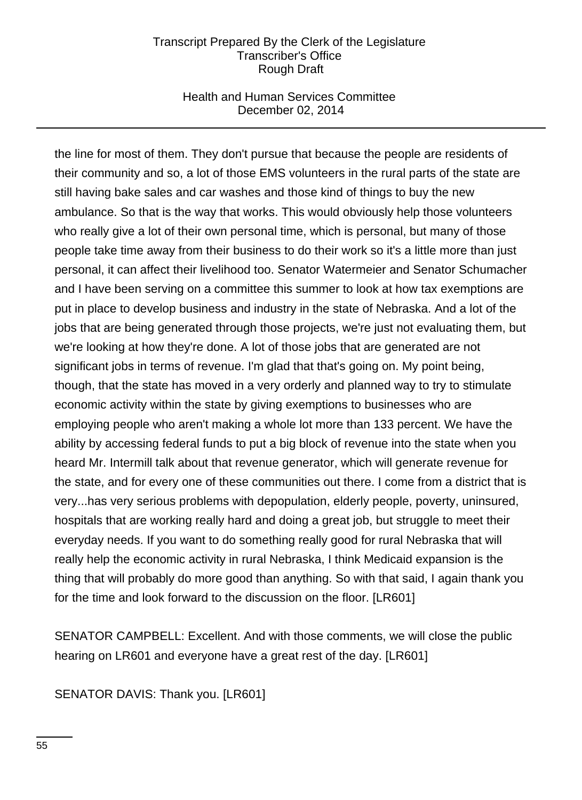## Health and Human Services Committee December 02, 2014

the line for most of them. They don't pursue that because the people are residents of their community and so, a lot of those EMS volunteers in the rural parts of the state are still having bake sales and car washes and those kind of things to buy the new ambulance. So that is the way that works. This would obviously help those volunteers who really give a lot of their own personal time, which is personal, but many of those people take time away from their business to do their work so it's a little more than just personal, it can affect their livelihood too. Senator Watermeier and Senator Schumacher and I have been serving on a committee this summer to look at how tax exemptions are put in place to develop business and industry in the state of Nebraska. And a lot of the jobs that are being generated through those projects, we're just not evaluating them, but we're looking at how they're done. A lot of those jobs that are generated are not significant jobs in terms of revenue. I'm glad that that's going on. My point being, though, that the state has moved in a very orderly and planned way to try to stimulate economic activity within the state by giving exemptions to businesses who are employing people who aren't making a whole lot more than 133 percent. We have the ability by accessing federal funds to put a big block of revenue into the state when you heard Mr. Intermill talk about that revenue generator, which will generate revenue for the state, and for every one of these communities out there. I come from a district that is very...has very serious problems with depopulation, elderly people, poverty, uninsured, hospitals that are working really hard and doing a great job, but struggle to meet their everyday needs. If you want to do something really good for rural Nebraska that will really help the economic activity in rural Nebraska, I think Medicaid expansion is the thing that will probably do more good than anything. So with that said, I again thank you for the time and look forward to the discussion on the floor. [LR601]

SENATOR CAMPBELL: Excellent. And with those comments, we will close the public hearing on LR601 and everyone have a great rest of the day. [LR601]

SENATOR DAVIS: Thank you. [LR601]